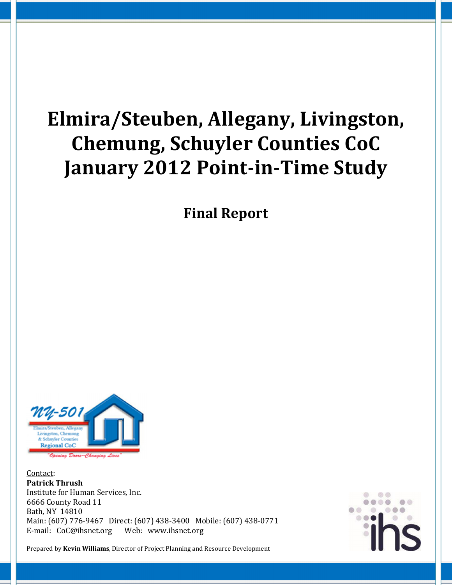# Elmira/Steuben, Allegany, Livingston, Chemung, Schuyler Counties CoC January 2012 Point-in-Time Study

Final Report



Contact: Patrick Thrush Institute for Human Services, Inc. 6666 County Road 11 Bath, NY 14810 Main: (607) 776-9467 Direct: (607) 438-3400 Mobile: (607) 438-0771 E-mail: CoC@ihsnet.org Web: www.ihsnet.org



Prepared by Kevin Williams, Director of Project Planning and Resource Development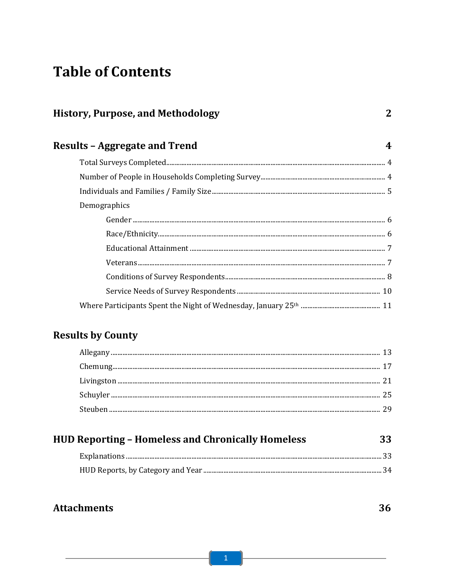# **Table of Contents**

| <b>History, Purpose, and Methodology</b> | 2 |
|------------------------------------------|---|
| <b>Results - Aggregate and Trend</b>     | 4 |
|                                          |   |
|                                          |   |
|                                          |   |
| Demographics                             |   |
|                                          |   |
|                                          |   |
|                                          |   |
|                                          |   |
|                                          |   |
|                                          |   |
|                                          |   |

# **Results by County**

| <b>HUD Reporting - Homeless and Chronically Homeless</b> |      |  |  |  |  |
|----------------------------------------------------------|------|--|--|--|--|
|                                                          | - 33 |  |  |  |  |
|                                                          |      |  |  |  |  |

# **Attachments**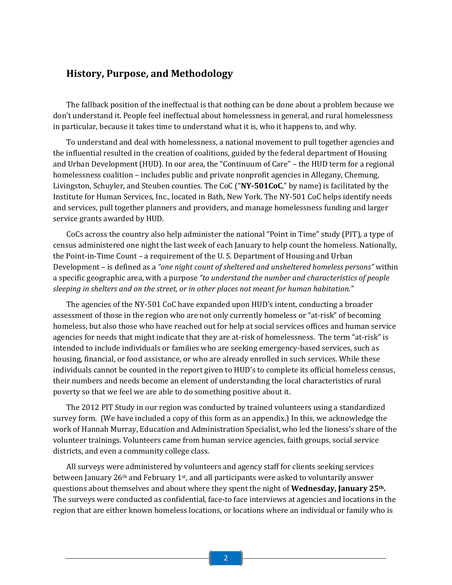# History, Purpose, and Methodology

The fallback position of the ineffectual is that nothing can be done about a problem because we don't understand it. People feel ineffectual about homelessness in general, and rural homelessness in particular, because it takes time to understand what it is, who it happens to, and why.

To understand and deal with homelessness, a national movement to pull together agencies and the influential resulted in the creation of coalitions, guided by the federal department of Housing and Urban Development (HUD). In our area, the "Continuum of Care" – the HUD term for a regional homelessness coalition – includes public and private nonprofit agencies in Allegany, Chemung, Livingston, Schuyler, and Steuben counties. The CoC ("NY-501CoC," by name) is facilitated by the Institute for Human Services, Inc., located in Bath, New York. The NY-501 CoC helps identify needs and services, pull together planners and providers, and manage homelessness funding and larger service grants awarded by HUD.

CoCs across the country also help administer the national "Point in Time" study (PIT), a type of census administered one night the last week of each January to help count the homeless. Nationally, the Point-in-Time Count – a requirement of the U. S. Department of Housing and Urban Development – is defined as a "one night count of sheltered and unsheltered homeless persons" within a specific geographic area, with a purpose "to understand the number and characteristics of people sleeping in shelters and on the street, or in other places not meant for human habitation."

The agencies of the NY-501 CoC have expanded upon HUD's intent, conducting a broader assessment of those in the region who are not only currently homeless or "at-risk" of becoming homeless, but also those who have reached out for help at social services offices and human service agencies for needs that might indicate that they are at-risk of homelessness. The term "at-risk" is intended to include individuals or families who are seeking emergency-based services, such as housing, financial, or food assistance, or who are already enrolled in such services. While these individuals cannot be counted in the report given to HUD's to complete its official homeless census, their numbers and needs become an element of understanding the local characteristics of rural poverty so that we feel we are able to do something positive about it.

The 2012 PIT Study in our region was conducted by trained volunteers using a standardized survey form. (We have included a copy of this form as an appendix.) In this, we acknowledge the work of Hannah Murray, Education and Administration Specialist, who led the lioness's share of the volunteer trainings. Volunteers came from human service agencies, faith groups, social service districts, and even a community college class.

All surveys were administered by volunteers and agency staff for clients seeking services between January 26th and February 1st, and all participants were asked to voluntarily answer questions about themselves and about where they spent the night of **Wednesday, January 25th.** The surveys were conducted as confidential, face-to face interviews at agencies and locations in the region that are either known homeless locations, or locations where an individual or family who is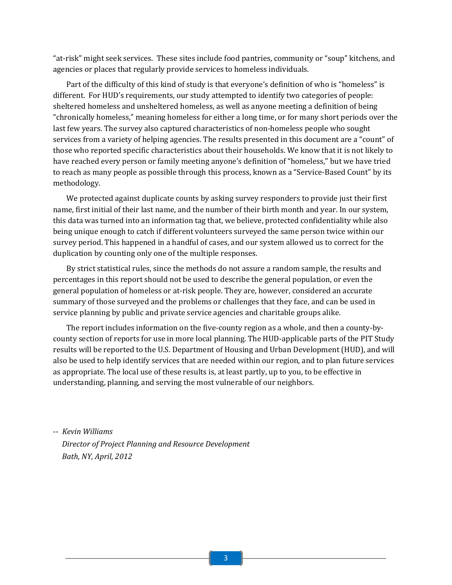"at-risk" might seek services. These sites include food pantries, community or "soup" kitchens, and agencies or places that regularly provide services to homeless individuals.

Part of the difficulty of this kind of study is that everyone's definition of who is "homeless" is different. For HUD's requirements, our study attempted to identify two categories of people: sheltered homeless and unsheltered homeless, as well as anyone meeting a definition of being "chronically homeless," meaning homeless for either a long time, or for many short periods over the last few years. The survey also captured characteristics of non-homeless people who sought services from a variety of helping agencies. The results presented in this document are a "count" of those who reported specific characteristics about their households. We know that it is not likely to have reached every person or family meeting anyone's definition of "homeless," but we have tried to reach as many people as possible through this process, known as a "Service-Based Count" by its methodology.

We protected against duplicate counts by asking survey responders to provide just their first name, first initial of their last name, and the number of their birth month and year. In our system, this data was turned into an information tag that, we believe, protected confidentiality while also being unique enough to catch if different volunteers surveyed the same person twice within our survey period. This happened in a handful of cases, and our system allowed us to correct for the duplication by counting only one of the multiple responses.

By strict statistical rules, since the methods do not assure a random sample, the results and percentages in this report should not be used to describe the general population, or even the general population of homeless or at-risk people. They are, however, considered an accurate summary of those surveyed and the problems or challenges that they face, and can be used in service planning by public and private service agencies and charitable groups alike.

The report includes information on the five-county region as a whole, and then a county-bycounty section of reports for use in more local planning. The HUD-applicable parts of the PIT Study results will be reported to the U.S. Department of Housing and Urban Development (HUD), and will also be used to help identify services that are needed within our region, and to plan future services as appropriate. The local use of these results is, at least partly, up to you, to be effective in understanding, planning, and serving the most vulnerable of our neighbors.

-- Kevin Williams Director of Project Planning and Resource Development Bath, NY, April, 2012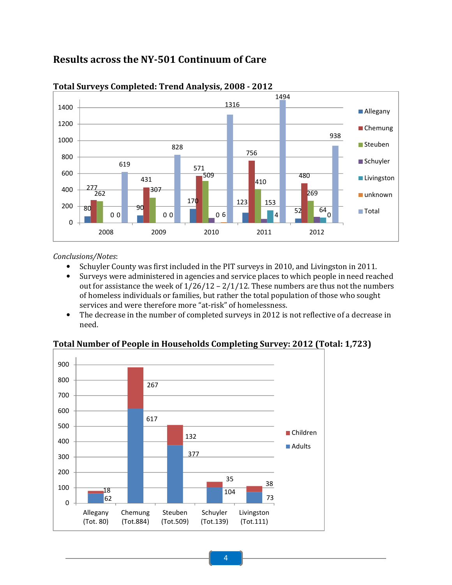# Results across the NY-501 Continuum of Care



# Total Surveys Completed: Trend Analysis, 2008 - 2012

# Conclusions/Notes:

- Schuyler County was first included in the PIT surveys in 2010, and Livingston in 2011.
- Surveys were administered in agencies and service places to which people in need reached out for assistance the week of  $1/26/12 - 2/1/12$ . These numbers are thus not the numbers of homeless individuals or families, but rather the total population of those who sought services and were therefore more "at-risk" of homelessness.
- The decrease in the number of completed surveys in 2012 is not reflective of a decrease in need.

# Total Number of People in Households Completing Survey: 2012 (Total: 1,723)

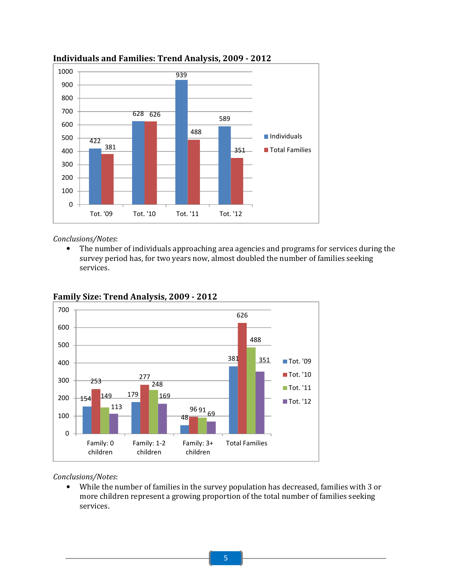

# Individuals and Families: Trend Analysis, 2009 - 2012

# Conclusions/Notes:

• The number of individuals approaching area agencies and programs for services during the survey period has, for two years now, almost doubled the number of families seeking services.



Family Size: Trend Analysis, 2009 - 2012

# Conclusions/Notes:

• While the number of families in the survey population has decreased, families with 3 or more children represent a growing proportion of the total number of families seeking services.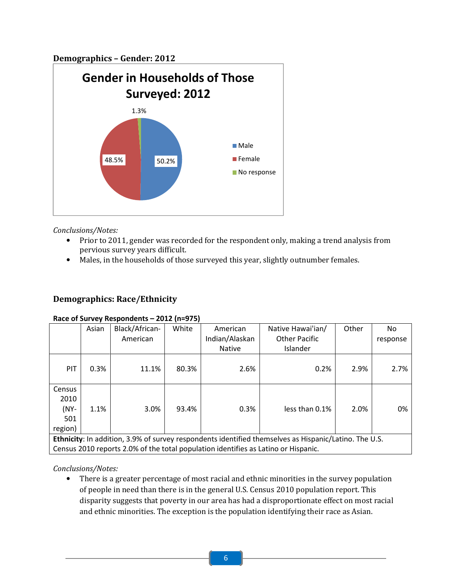# Demographics – Gender: 2012



Conclusions/Notes:

- Prior to 2011, gender was recorded for the respondent only, making a trend analysis from pervious survey years difficult.
- Males, in the households of those surveyed this year, slightly outnumber females.

# Demographics: Race/Ethnicity

#### Race of Survey Respondents – 2012 (n=975)

|                                             | Asian                                                                                                 | Black/African- | White | American       | Native Hawai'ian/                                                                  | Other | No.      |  |  |
|---------------------------------------------|-------------------------------------------------------------------------------------------------------|----------------|-------|----------------|------------------------------------------------------------------------------------|-------|----------|--|--|
|                                             |                                                                                                       | American       |       | Indian/Alaskan | <b>Other Pacific</b>                                                               |       | response |  |  |
|                                             |                                                                                                       |                |       | <b>Native</b>  | Islander                                                                           |       |          |  |  |
| PIT                                         | 0.3%                                                                                                  | 11.1%          | 80.3% | 2.6%           | 0.2%                                                                               | 2.9%  | 2.7%     |  |  |
| Census<br>2010<br>$(NY -$<br>501<br>region) | 1.1%                                                                                                  | 3.0%           | 93.4% | 0.3%           | less than 0.1%                                                                     | 2.0%  | 0%       |  |  |
|                                             | Ethnicity: In addition, 3.9% of survey respondents identified themselves as Hispanic/Latino. The U.S. |                |       |                |                                                                                    |       |          |  |  |
|                                             |                                                                                                       |                |       |                | Census 2010 reports 2.0% of the total population identifies as Latino or Hispanic. |       |          |  |  |

Conclusions/Notes:

• There is a greater percentage of most racial and ethnic minorities in the survey population of people in need than there is in the general U.S. Census 2010 population report. This disparity suggests that poverty in our area has had a disproportionate effect on most racial and ethnic minorities. The exception is the population identifying their race as Asian.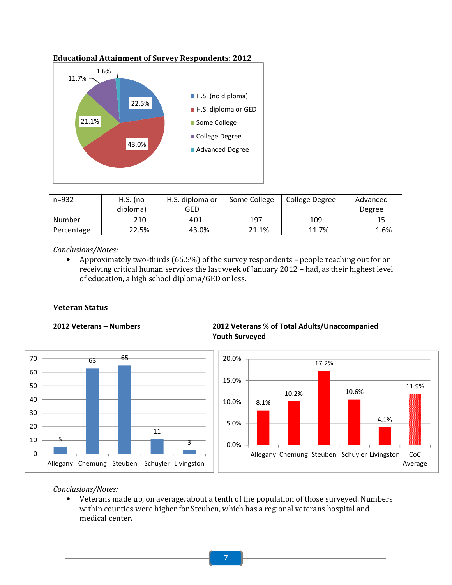

Educational Attainment of Survey Respondents: 2012

| $n = 932$  | $H.S.$ (no | H.S. diploma or | Some College | College Degree | Advanced |
|------------|------------|-----------------|--------------|----------------|----------|
|            | diploma)   | GED             |              |                | Degree   |
| Number     | 210        | 401             | 197          | 109            | 15       |
| Percentage | 22.5%      | 43.0%           | 21.1%        | 11.7%          | 1.6%     |

#### Conclusions/Notes:

• Approximately two-thirds (65.5%) of the survey respondents – people reaching out for or receiving critical human services the last week of January 2012 – had, as their highest level of education, a high school diploma/GED or less.

#### Veteran Status



# 2012 Veterans – Numbers 2012 Veterans % of Total Adults/Unaccompanied Youth Surveyed



#### Conclusions/Notes:

• Veterans made up, on average, about a tenth of the population of those surveyed. Numbers within counties were higher for Steuben, which has a regional veterans hospital and medical center.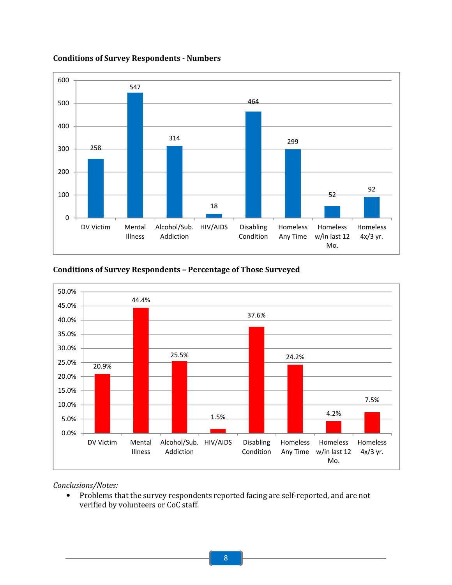

Conditions of Survey Respondents - Numbers

# Conditions of Survey Respondents – Percentage of Those Surveyed



#### Conclusions/Notes:

• Problems that the survey respondents reported facing are self-reported, and are not verified by volunteers or CoC staff.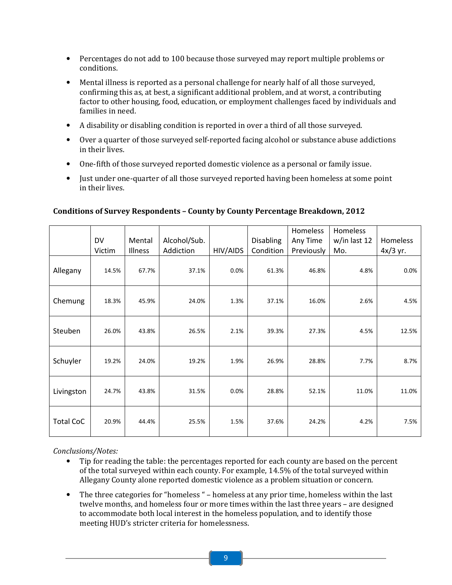- Percentages do not add to 100 because those surveyed may report multiple problems or conditions.
- Mental illness is reported as a personal challenge for nearly half of all those surveyed, confirming this as, at best, a significant additional problem, and at worst, a contributing factor to other housing, food, education, or employment challenges faced by individuals and families in need.
- A disability or disabling condition is reported in over a third of all those surveyed.
- Over a quarter of those surveyed self-reported facing alcohol or substance abuse addictions in their lives.
- One-fifth of those surveyed reported domestic violence as a personal or family issue.
- Just under one-quarter of all those surveyed reported having been homeless at some point in their lives.

|                  | DV<br>Victim | Mental<br>Illness | Alcohol/Sub.<br>Addiction | HIV/AIDS | Disabling<br>Condition | Homeless<br>Any Time<br>Previously | Homeless<br>w/in last 12<br>Mo. | Homeless<br>$4x/3$ yr. |
|------------------|--------------|-------------------|---------------------------|----------|------------------------|------------------------------------|---------------------------------|------------------------|
| Allegany         | 14.5%        | 67.7%             | 37.1%                     | 0.0%     | 61.3%                  | 46.8%                              | 4.8%                            | 0.0%                   |
| Chemung          | 18.3%        | 45.9%             | 24.0%                     | 1.3%     | 37.1%                  | 16.0%                              | 2.6%                            | 4.5%                   |
| Steuben          | 26.0%        | 43.8%             | 26.5%                     | 2.1%     | 39.3%                  | 27.3%                              | 4.5%                            | 12.5%                  |
| Schuyler         | 19.2%        | 24.0%             | 19.2%                     | 1.9%     | 26.9%                  | 28.8%                              | 7.7%                            | 8.7%                   |
| Livingston       | 24.7%        | 43.8%             | 31.5%                     | 0.0%     | 28.8%                  | 52.1%                              | 11.0%                           | 11.0%                  |
| <b>Total CoC</b> | 20.9%        | 44.4%             | 25.5%                     | 1.5%     | 37.6%                  | 24.2%                              | 4.2%                            | 7.5%                   |

# Conditions of Survey Respondents – County by County Percentage Breakdown, 2012

- Tip for reading the table: the percentages reported for each county are based on the percent of the total surveyed within each county. For example, 14.5% of the total surveyed within Allegany County alone reported domestic violence as a problem situation or concern.
- The three categories for "homeless " homeless at any prior time, homeless within the last twelve months, and homeless four or more times within the last three years – are designed to accommodate both local interest in the homeless population, and to identify those meeting HUD's stricter criteria for homelessness.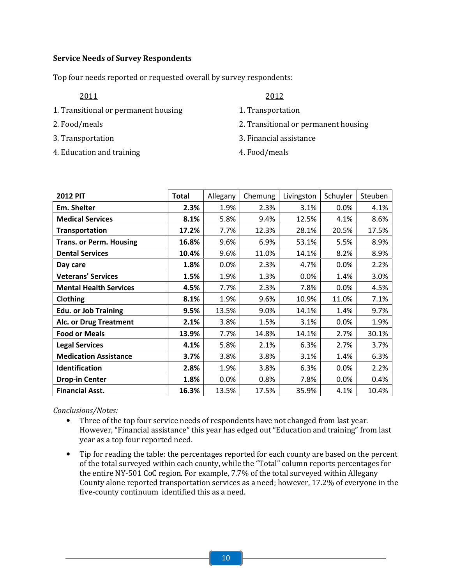# Service Needs of Survey Respondents

Top four needs reported or requested overall by survey respondents:

- 1. Transitional or permanent housing 1. Transportation
- 
- 
- 4. Education and training 4. Food/meals
- 2011 2012
	-
- 2. Food/meals 2. Transitional or permanent housing
- 3. Transportation 3. Financial assistance
	-

| <b>2012 PIT</b>                | <b>Total</b> | Allegany | Chemung | Livingston | Schuyler | Steuben |
|--------------------------------|--------------|----------|---------|------------|----------|---------|
| Em. Shelter                    | 2.3%         | 1.9%     | 2.3%    | 3.1%       | 0.0%     | 4.1%    |
| <b>Medical Services</b>        | 8.1%         | 5.8%     | 9.4%    | 12.5%      | 4.1%     | 8.6%    |
| <b>Transportation</b>          | 17.2%        | 7.7%     | 12.3%   | 28.1%      | 20.5%    | 17.5%   |
| <b>Trans. or Perm. Housing</b> | 16.8%        | 9.6%     | 6.9%    | 53.1%      | 5.5%     | 8.9%    |
| <b>Dental Services</b>         | 10.4%        | 9.6%     | 11.0%   | 14.1%      | 8.2%     | 8.9%    |
| Day care                       | 1.8%         | 0.0%     | 2.3%    | 4.7%       | 0.0%     | 2.2%    |
| <b>Veterans' Services</b>      | 1.5%         | 1.9%     | 1.3%    | 0.0%       | 1.4%     | 3.0%    |
| <b>Mental Health Services</b>  | 4.5%         | 7.7%     | 2.3%    | 7.8%       | 0.0%     | 4.5%    |
| Clothing                       | 8.1%         | 1.9%     | 9.6%    | 10.9%      | 11.0%    | 7.1%    |
| <b>Edu. or Job Training</b>    | 9.5%         | 13.5%    | 9.0%    | 14.1%      | 1.4%     | 9.7%    |
| Alc. or Drug Treatment         | 2.1%         | 3.8%     | 1.5%    | 3.1%       | 0.0%     | 1.9%    |
| <b>Food or Meals</b>           | 13.9%        | 7.7%     | 14.8%   | 14.1%      | 2.7%     | 30.1%   |
| <b>Legal Services</b>          | 4.1%         | 5.8%     | 2.1%    | 6.3%       | 2.7%     | 3.7%    |
| <b>Medication Assistance</b>   | 3.7%         | 3.8%     | 3.8%    | 3.1%       | 1.4%     | 6.3%    |
| Identification                 | 2.8%         | 1.9%     | 3.8%    | 6.3%       | 0.0%     | 2.2%    |
| <b>Drop-in Center</b>          | 1.8%         | 0.0%     | 0.8%    | 7.8%       | 0.0%     | 0.4%    |
| <b>Financial Asst.</b>         | 16.3%        | 13.5%    | 17.5%   | 35.9%      | 4.1%     | 10.4%   |

- Three of the top four service needs of respondents have not changed from last year. However, "Financial assistance" this year has edged out "Education and training" from last year as a top four reported need.
- Tip for reading the table: the percentages reported for each county are based on the percent of the total surveyed within each county, while the "Total" column reports percentages for the entire NY-501 CoC region. For example, 7.7% of the total surveyed within Allegany County alone reported transportation services as a need; however, 17.2% of everyone in the five-county continuum identified this as a need.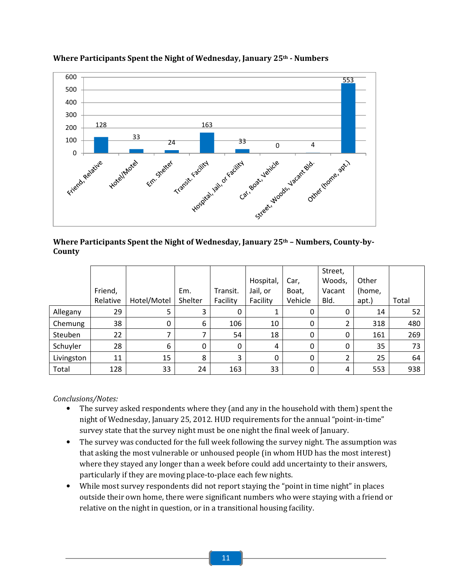

# Where Participants Spent the Night of Wednesday, January 25<sup>th</sup> - Numbers

Where Participants Spent the Night of Wednesday, January 25<sup>th</sup> - Numbers, County-by-County

|            |          |             |             |          |           |         | Street,  |        |       |
|------------|----------|-------------|-------------|----------|-----------|---------|----------|--------|-------|
|            |          |             |             |          | Hospital, | Car,    | Woods,   | Other  |       |
|            | Friend,  |             | Em.         | Transit. | Jail, or  | Boat,   | Vacant   | (home, |       |
|            | Relative | Hotel/Motel | Shelter     | Facility | Facility  | Vehicle | Bld.     | apt.)  | Total |
| Allegany   | 29       | 5           | 3           | 0        |           | 0       | 0        | 14     | 52    |
| Chemung    | 38       | 0           | 6           | 106      | 10        | 0       | 2        | 318    | 480   |
| Steuben    | 22       |             |             | 54       | 18        | 0       | 0        | 161    | 269   |
| Schuyler   | 28       | 6           | $\mathbf 0$ | 0        | 4         | 0       | $\Omega$ | 35     | 73    |
| Livingston | 11       | 15          | 8           | 3        | 0         | 0       | າ        | 25     | 64    |
| Total      | 128      | 33          | 24          | 163      | 33        | 0       | 4        | 553    | 938   |

- The survey asked respondents where they (and any in the household with them) spent the night of Wednesday, January 25, 2012. HUD requirements for the annual "point-in-time" survey state that the survey night must be one night the final week of January.
- The survey was conducted for the full week following the survey night. The assumption was that asking the most vulnerable or unhoused people (in whom HUD has the most interest) where they stayed any longer than a week before could add uncertainty to their answers, particularly if they are moving place-to-place each few nights.
- While most survey respondents did not report staying the "point in time night" in places outside their own home, there were significant numbers who were staying with a friend or relative on the night in question, or in a transitional housing facility.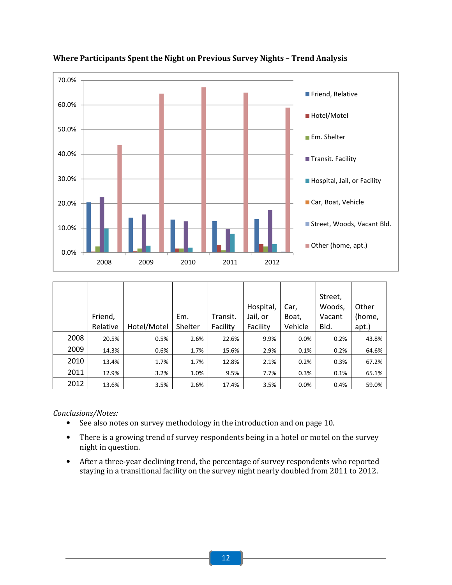

# Where Participants Spent the Night on Previous Survey Nights – Trend Analysis

|      |          |             |         |          |           |         | Street, |        |
|------|----------|-------------|---------|----------|-----------|---------|---------|--------|
|      |          |             |         |          | Hospital, | Car,    | Woods,  | Other  |
|      | Friend,  |             | Em.     | Transit. | Jail, or  | Boat,   | Vacant  | (home, |
|      | Relative | Hotel/Motel | Shelter | Facility | Facility  | Vehicle | Bld.    | apt.)  |
| 2008 | 20.5%    | 0.5%        | 2.6%    | 22.6%    | 9.9%      | 0.0%    | 0.2%    | 43.8%  |
| 2009 | 14.3%    | 0.6%        | 1.7%    | 15.6%    | 2.9%      | 0.1%    | 0.2%    | 64.6%  |
| 2010 | 13.4%    | 1.7%        | 1.7%    | 12.8%    | 2.1%      | 0.2%    | 0.3%    | 67.2%  |
| 2011 | 12.9%    | 3.2%        | 1.0%    | 9.5%     | 7.7%      | 0.3%    | 0.1%    | 65.1%  |
| 2012 | 13.6%    | 3.5%        | 2.6%    | 17.4%    | 3.5%      | 0.0%    | 0.4%    | 59.0%  |

- See also notes on survey methodology in the introduction and on page 10.
- There is a growing trend of survey respondents being in a hotel or motel on the survey night in question.
- After a three-year declining trend, the percentage of survey respondents who reported staying in a transitional facility on the survey night nearly doubled from 2011 to 2012.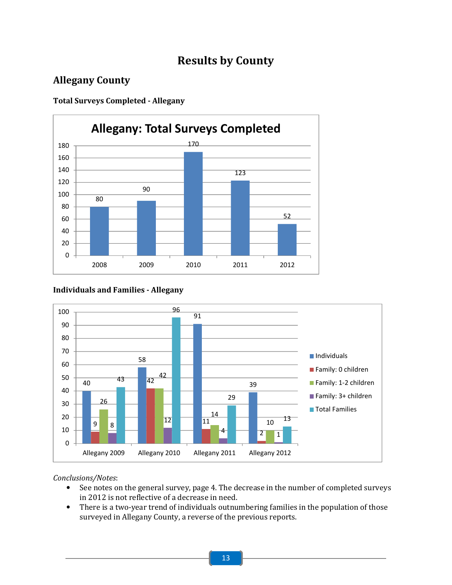# Results by County

# Allegany County

Total Surveys Completed - Allegany



# Individuals and Families - Allegany



- See notes on the general survey, page 4. The decrease in the number of completed surveys in 2012 is not reflective of a decrease in need.
- There is a two-year trend of individuals outnumbering families in the population of those surveyed in Allegany County, a reverse of the previous reports.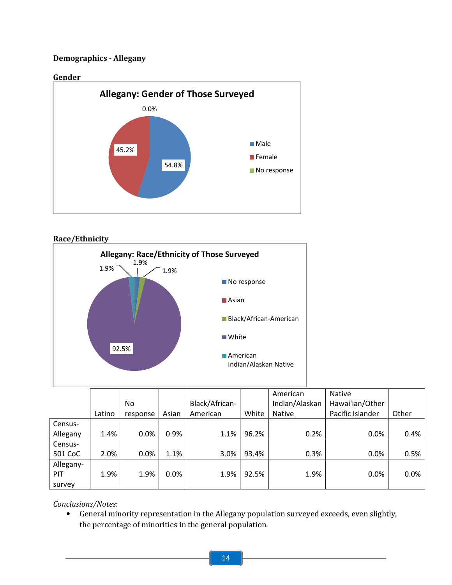# Demographics - Allegany





|           |        |          |       |                |       | American       | <b>Native</b>    |       |
|-----------|--------|----------|-------|----------------|-------|----------------|------------------|-------|
|           |        | No       |       | Black/African- |       | Indian/Alaskan | Hawai'ian/Other  |       |
|           | Latino | response | Asian | American       | White | Native         | Pacific Islander | Other |
| Census-   |        |          |       |                |       |                |                  |       |
| Allegany  | 1.4%   | 0.0%     | 0.9%  | 1.1%           | 96.2% | 0.2%           | 0.0%             | 0.4%  |
| Census-   |        |          |       |                |       |                |                  |       |
| 501 CoC   | 2.0%   | 0.0%     | 1.1%  | 3.0%           | 93.4% | 0.3%           | 0.0%             | 0.5%  |
| Allegany- |        |          |       |                |       |                |                  |       |
| PIT       | 1.9%   | 1.9%     | 0.0%  | 1.9%           | 92.5% | 1.9%           | 0.0%             | 0.0%  |
| survey    |        |          |       |                |       |                |                  |       |

Conclusions/Notes:

• General minority representation in the Allegany population surveyed exceeds, even slightly, the percentage of minorities in the general population.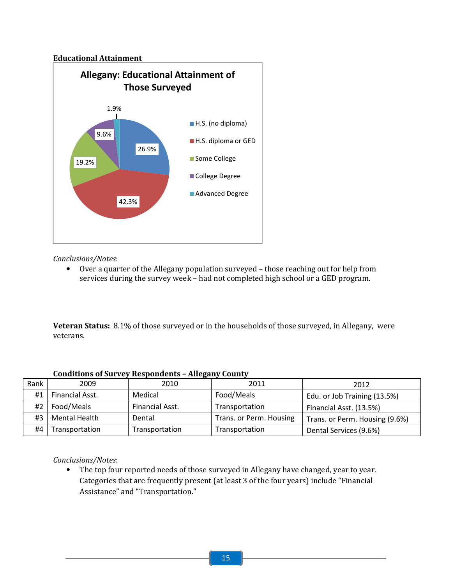# Educational Attainment



# Conclusions/Notes:

• Over a quarter of the Allegany population surveyed – those reaching out for help from services during the survey week – had not completed high school or a GED program.

Veteran Status: 8.1% of those surveyed or in the households of those surveyed, in Allegany, were veterans.

| Rank | 2009                 | 2010            | 2011                    | 2012                           |
|------|----------------------|-----------------|-------------------------|--------------------------------|
| #1   | Financial Asst.      | Medical         | Food/Meals              | Edu. or Job Training (13.5%)   |
| #2   | Food/Meals           | Financial Asst. | Transportation          | Financial Asst. (13.5%)        |
| #3   | <b>Mental Health</b> | Dental          | Trans. or Perm. Housing | Trans. or Perm. Housing (9.6%) |
| #4   | Transportation       | Transportation  | Transportation          | Dental Services (9.6%)         |

# Conditions of Survey Respondents – Allegany County

# Conclusions/Notes:

• The top four reported needs of those surveyed in Allegany have changed, year to year. Categories that are frequently present (at least 3 of the four years) include "Financial Assistance" and "Transportation."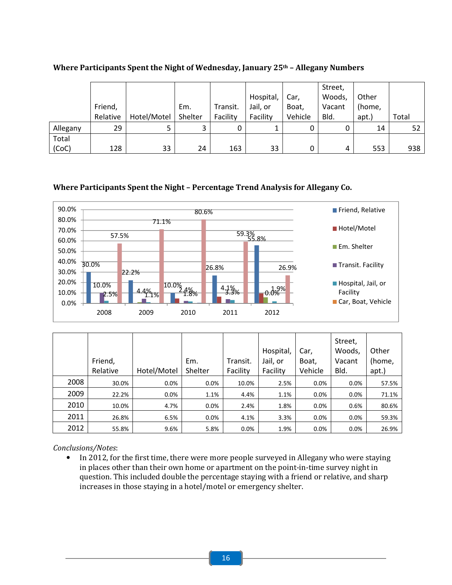|          |          |             |         |          |           |         | Street, |        |       |
|----------|----------|-------------|---------|----------|-----------|---------|---------|--------|-------|
|          |          |             |         |          | Hospital, | Car,    | Woods,  | Other  |       |
|          | Friend,  |             | Em.     | Transit. | Jail, or  | Boat,   | Vacant  | (home, |       |
|          | Relative | Hotel/Motel | Shelter | Facility | Facility  | Vehicle | Bld.    | apt.)  | Total |
| Allegany | 29       |             |         | 0        |           | 0       |         | 14     | 52    |
| Total    |          |             |         |          |           |         |         |        |       |
| (CoC)    | 128      | 33          | 24      | 163      | 33        | 0       | 4       | 553    | 938   |

# Where Participants Spent the Night of Wednesday, January 25<sup>th</sup> - Allegany Numbers

# Where Participants Spent the Night – Percentage Trend Analysis for Allegany Co.



|      |          |             |         |          | Hospital, | Car,    | Street,<br>Woods, | Other  |
|------|----------|-------------|---------|----------|-----------|---------|-------------------|--------|
|      | Friend,  |             | Em.     | Transit. | Jail, or  | Boat,   | Vacant            | (home, |
|      | Relative | Hotel/Motel | Shelter | Facility | Facility  | Vehicle | Bld.              | apt.)  |
| 2008 | 30.0%    | 0.0%        | $0.0\%$ | 10.0%    | 2.5%      | $0.0\%$ | 0.0%              | 57.5%  |
| 2009 | 22.2%    | $0.0\%$     | 1.1%    | 4.4%     | 1.1%      | $0.0\%$ | 0.0%              | 71.1%  |
| 2010 | 10.0%    | 4.7%        | 0.0%    | 2.4%     | 1.8%      | 0.0%    | 0.6%              | 80.6%  |
| 2011 | 26.8%    | 6.5%        | 0.0%    | 4.1%     | 3.3%      | 0.0%    | 0.0%              | 59.3%  |
| 2012 | 55.8%    | 9.6%        | 5.8%    | 0.0%     | 1.9%      | $0.0\%$ | 0.0%              | 26.9%  |

Conclusions/Notes:

• In 2012, for the first time, there were more people surveyed in Allegany who were staying in places other than their own home or apartment on the point-in-time survey night in question. This included double the percentage staying with a friend or relative, and sharp increases in those staying in a hotel/motel or emergency shelter.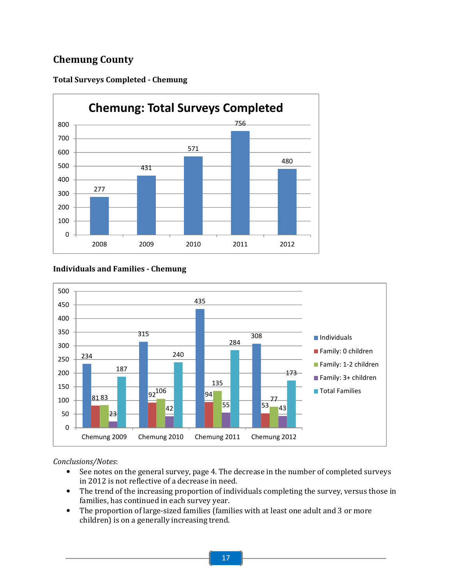# Chemung County



# Total Surveys Completed - Chemung

# Individuals and Families - Chemung



- See notes on the general survey, page 4. The decrease in the number of completed surveys in 2012 is not reflective of a decrease in need.
- The trend of the increasing proportion of individuals completing the survey, versus those in families, has continued in each survey year.
- The proportion of large-sized families (families with at least one adult and 3 or more children) is on a generally increasing trend.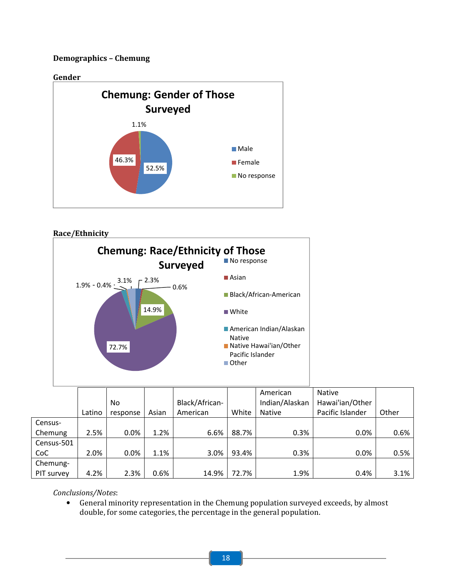# Demographics – Chemung



# Race/Ethnicity



|            |        |          |       |                |       | American       | <b>Native</b>    |       |
|------------|--------|----------|-------|----------------|-------|----------------|------------------|-------|
|            |        | No       |       | Black/African- |       | Indian/Alaskan | Hawai'ian/Other  |       |
|            | Latino | response | Asian | American       | White | <b>Native</b>  | Pacific Islander | Other |
| Census-    |        |          |       |                |       |                |                  |       |
| Chemung    | 2.5%   | 0.0%     | 1.2%  | 6.6%           | 88.7% | 0.3%           | 0.0%             | 0.6%  |
| Census-501 |        |          |       |                |       |                |                  |       |
| CoC        | 2.0%   | $0.0\%$  | 1.1%  | 3.0%           | 93.4% | 0.3%           | 0.0%             | 0.5%  |
| Chemung-   |        |          |       |                |       |                |                  |       |
| PIT survey | 4.2%   | 2.3%     | 0.6%  | 14.9%          | 72.7% | 1.9%           | 0.4%             | 3.1%  |

# Conclusions/Notes:

• General minority representation in the Chemung population surveyed exceeds, by almost double, for some categories, the percentage in the general population.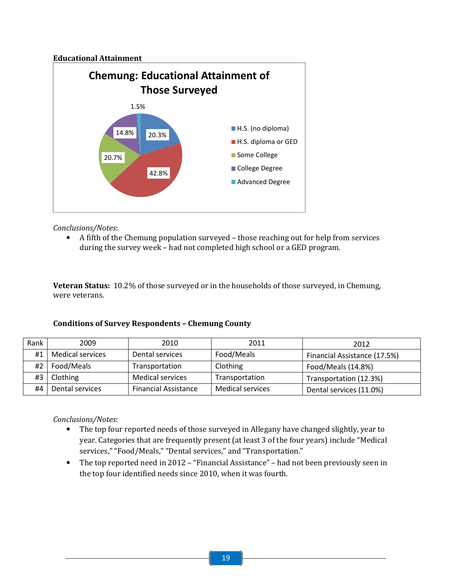# Educational Attainment



# Conclusions/Notes:

• A fifth of the Chemung population surveyed – those reaching out for help from services during the survey week – had not completed high school or a GED program.

Veteran Status: 10.2% of those surveyed or in the households of those surveyed, in Chemung, were veterans.

# Conditions of Survey Respondents – Chemung County

| Rank | 2009             | 2010                        | 2011                    | 2012                         |
|------|------------------|-----------------------------|-------------------------|------------------------------|
| #1   | Medical services | Dental services             | Food/Meals              | Financial Assistance (17.5%) |
| #2   | Food/Meals       | Transportation              | Clothing                | Food/Meals (14.8%)           |
|      | $#3$   Clothing  | <b>Medical services</b>     | Transportation          | Transportation (12.3%)       |
| #4   | Dental services  | <b>Financial Assistance</b> | <b>Medical services</b> | Dental services (11.0%)      |

- The top four reported needs of those surveyed in Allegany have changed slightly, year to year. Categories that are frequently present (at least 3 of the four years) include "Medical services," "Food/Meals," "Dental services," and "Transportation."
- The top reported need in 2012 "Financial Assistance" had not been previously seen in the top four identified needs since 2010, when it was fourth.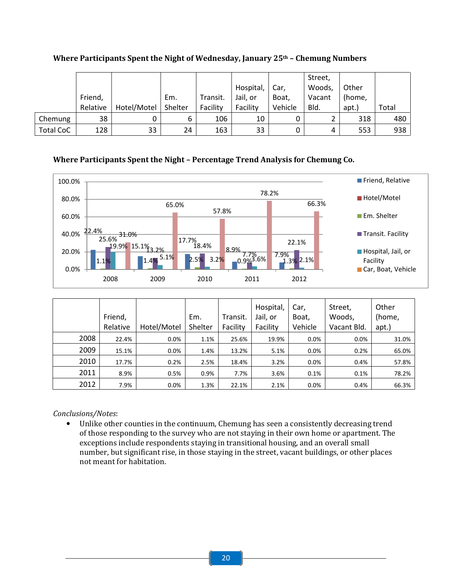|                  |          |             |         |          |           |         | Street, |        |       |
|------------------|----------|-------------|---------|----------|-----------|---------|---------|--------|-------|
|                  |          |             |         |          | Hospital, | Car,    | Woods,  | Other  |       |
|                  | Friend,  |             | Em.     | Transit. | Jail, or  | Boat,   | Vacant  | (home, |       |
|                  | Relative | Hotel/Motel | Shelter | Facility | Facility  | Vehicle | Bld.    | apt.)  | Total |
| Chemung          | 38       |             | 6       | 106      | 10        | 0       |         | 318    | 480   |
| <b>Total CoC</b> | 128      | 33          | 24      | 163      | 33        | 0       | 4       | 553    | 938   |

Where Participants Spent the Night of Wednesday, January 25<sup>th</sup> - Chemung Numbers

# Where Participants Spent the Night – Percentage Trend Analysis for Chemung Co.



|      | Friend,<br>Relative | Hotel/Motel | Em.<br>Shelter | Transit.<br>Facility | Hospital,<br>Jail, or<br>Facility | Car,<br>Boat,<br>Vehicle | Street,<br>Woods,<br>Vacant Bld. | Other<br>(home,<br>apt.) |
|------|---------------------|-------------|----------------|----------------------|-----------------------------------|--------------------------|----------------------------------|--------------------------|
| 2008 | 22.4%               | 0.0%        | 1.1%           | 25.6%                | 19.9%                             | 0.0%                     | 0.0%                             | 31.0%                    |
| 2009 | 15.1%               | 0.0%        | 1.4%           | 13.2%                | 5.1%                              | 0.0%                     | 0.2%                             | 65.0%                    |
| 2010 | 17.7%               | 0.2%        | 2.5%           | 18.4%                | 3.2%                              | 0.0%                     | 0.4%                             | 57.8%                    |
| 2011 | 8.9%                | 0.5%        | 0.9%           | 7.7%                 | 3.6%                              | 0.1%                     | 0.1%                             | 78.2%                    |
| 2012 | 7.9%                | 0.0%        | 1.3%           | 22.1%                | 2.1%                              | 0.0%                     | 0.4%                             | 66.3%                    |

Conclusions/Notes:

• Unlike other counties in the continuum, Chemung has seen a consistently decreasing trend of those responding to the survey who are not staying in their own home or apartment. The exceptions include respondents staying in transitional housing, and an overall small number, but significant rise, in those staying in the street, vacant buildings, or other places not meant for habitation.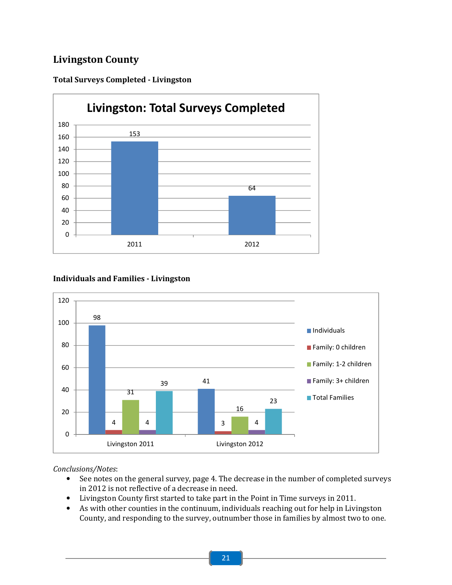# Livingston County



# Total Surveys Completed - Livingston

# Individuals and Families - Livingston



- See notes on the general survey, page 4. The decrease in the number of completed surveys in 2012 is not reflective of a decrease in need.
- Livingston County first started to take part in the Point in Time surveys in 2011.
- As with other counties in the continuum, individuals reaching out for help in Livingston County, and responding to the survey, outnumber those in families by almost two to one.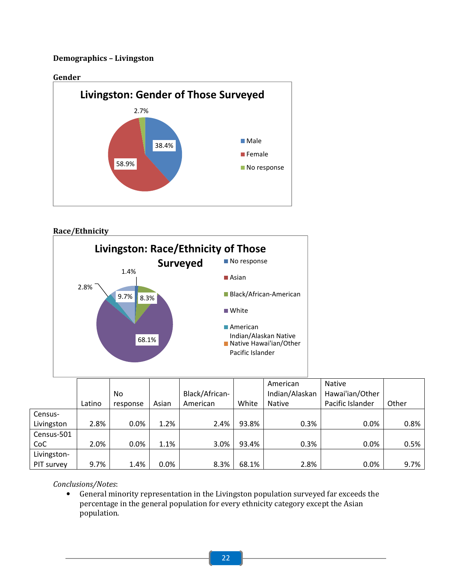# Demographics – Livingston





# Race/Ethnicity



|             |        |          |       |                |       | American       | <b>Native</b>    |         |
|-------------|--------|----------|-------|----------------|-------|----------------|------------------|---------|
|             |        | No       |       | Black/African- |       | Indian/Alaskan | Hawai'ian/Other  |         |
|             | Latino | response | Asian | American       | White | <b>Native</b>  | Pacific Islander | Other   |
| Census-     |        |          |       |                |       |                |                  |         |
| Livingston  | 2.8%   | 0.0%     | 1.2%  | 2.4%           | 93.8% | 0.3%           | $0.0\%$          | 0.8%    |
| Census-501  |        |          |       |                |       |                |                  |         |
| CoC         | 2.0%   | 0.0%     | 1.1%  | 3.0%           | 93.4% | 0.3%           | $0.0\%$          | 0.5%    |
| Livingston- |        |          |       |                |       |                |                  |         |
| PIT survey  | 9.7%   | 1.4%     | 0.0%  | 8.3%           | 68.1% | 2.8%           | 0.0%             | $9.7\%$ |

# Conclusions/Notes:

• General minority representation in the Livingston population surveyed far exceeds the percentage in the general population for every ethnicity category except the Asian population.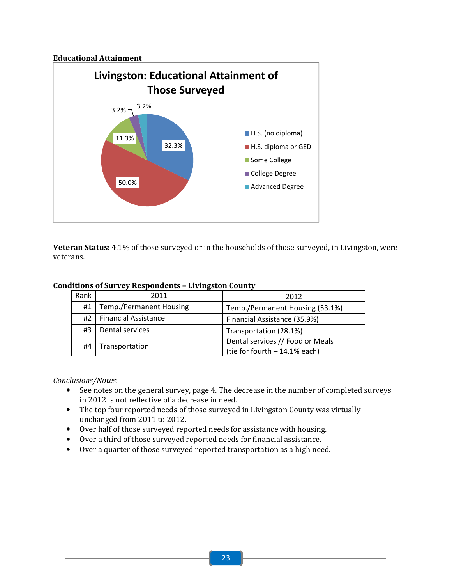# Educational Attainment



Veteran Status: 4.1% of those surveyed or in the households of those surveyed, in Livingston, were veterans.

# Conditions of Survey Respondents – Livingston County

| Rank | 2011                           | 2012                             |
|------|--------------------------------|----------------------------------|
| #1   | <b>Temp./Permanent Housing</b> | Temp./Permanent Housing (53.1%)  |
| #2 I | <b>Financial Assistance</b>    | Financial Assistance (35.9%)     |
| #3   | Dental services                | Transportation (28.1%)           |
| #4   | Transportation                 | Dental services // Food or Meals |
|      |                                | (tie for fourth $-14.1%$ each)   |

- See notes on the general survey, page 4. The decrease in the number of completed surveys in 2012 is not reflective of a decrease in need.
- The top four reported needs of those surveyed in Livingston County was virtually unchanged from 2011 to 2012.
- Over half of those surveyed reported needs for assistance with housing.
- Over a third of those surveyed reported needs for financial assistance.
- Over a quarter of those surveyed reported transportation as a high need.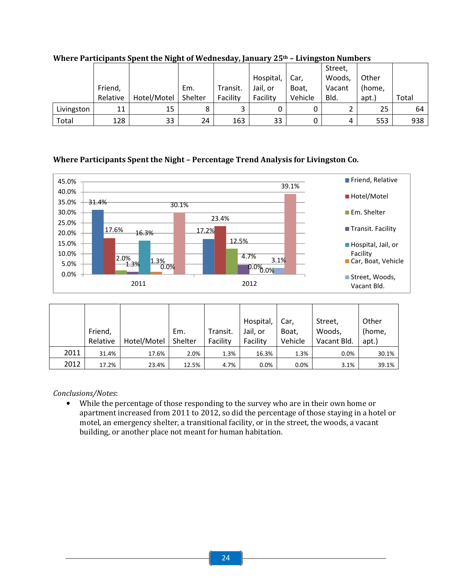|            |          |             |         |          |           |         | Street, |        |       |
|------------|----------|-------------|---------|----------|-----------|---------|---------|--------|-------|
|            |          |             |         |          | Hospital, | Car,    | Woods,  | Other  |       |
|            | Friend,  |             | Em.     | Transit. | Jail, or  | Boat,   | Vacant  | (home, |       |
|            | Relative | Hotel/Motel | Shelter | Facility | Facility  | Vehicle | Bld.    | apt.)  | Total |
| Livingston | 11       | 15          |         |          |           |         |         | 25     | 64    |
| Total      | 128      | 33          | 24      | 163      | 33        | 0       | 4       | 553    | 938   |

Where Participants Spent the Night of Wednesday, January 25<sup>th</sup> - Livingston Numbers

# Where Participants Spent the Night – Percentage Trend Analysis for Livingston Co.



|      |          |             |         |          | Hospital, | Car,    | Street,     | Other  |
|------|----------|-------------|---------|----------|-----------|---------|-------------|--------|
|      | Friend,  |             | Em.     | Transit. | Jail, or  | Boat,   | Woods,      | (home, |
|      | Relative | Hotel/Motel | Shelter | Facility | Facility  | Vehicle | Vacant Bld. | apt.)  |
| 2011 | 31.4%    | 17.6%       | 2.0%    | 1.3%     | 16.3%     | 1.3%    | $0.0\%$     | 30.1%  |
| 2012 | 17.2%    | 23.4%       | 12.5%   | 4.7%     | 0.0%      | 0.0%    | 3.1%        | 39.1%  |

Conclusions/Notes:

• While the percentage of those responding to the survey who are in their own home or apartment increased from 2011 to 2012, so did the percentage of those staying in a hotel or motel, an emergency shelter, a transitional facility, or in the street, the woods, a vacant building, or another place not meant for human habitation.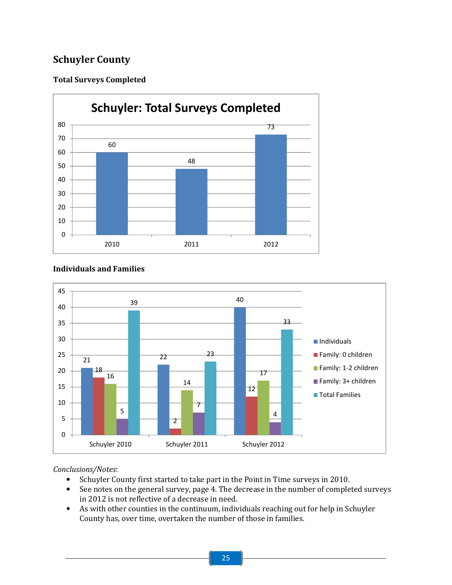# Schuyler County

# Total Surveys Completed



#### $\overline{21}$  22 Schuyler 2010 Schuyler 2011 Schuyler 2012 Individuals Family: 0 children Family: 1-2 children Family: 3+ children **Total Families**

# Individuals and Families

- Schuyler County first started to take part in the Point in Time surveys in 2010.
- See notes on the general survey, page 4. The decrease in the number of completed surveys in 2012 is not reflective of a decrease in need.
- As with other counties in the continuum, individuals reaching out for help in Schuyler County has, over time, overtaken the number of those in families.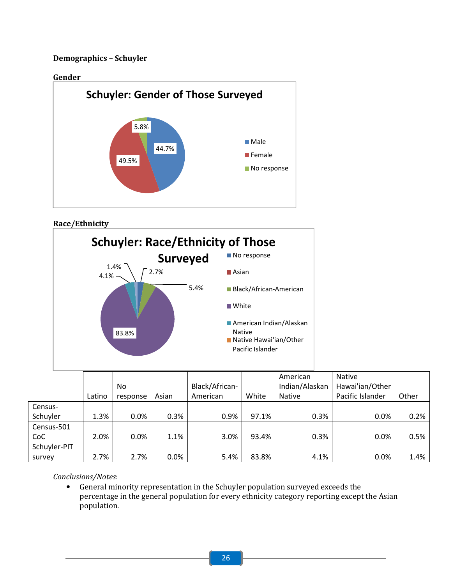# Demographics – Schuyler







|              |        |          |       |                |       | American       | <b>Native</b>    |       |
|--------------|--------|----------|-------|----------------|-------|----------------|------------------|-------|
|              |        | No       |       | Black/African- |       | Indian/Alaskan | Hawai'ian/Other  |       |
|              | Latino | response | Asian | American       | White | <b>Native</b>  | Pacific Islander | Other |
| Census-      |        |          |       |                |       |                |                  |       |
| Schuyler     | 1.3%   | 0.0%     | 0.3%  | 0.9%           | 97.1% | 0.3%           | $0.0\%$          | 0.2%  |
| Census-501   |        |          |       |                |       |                |                  |       |
| CoC          | 2.0%   | 0.0%     | 1.1%  | 3.0%           | 93.4% | 0.3%           | $0.0\%$          | 0.5%  |
| Schuyler-PIT |        |          |       |                |       |                |                  |       |
| survey       | 2.7%   | 2.7%     | 0.0%  | 5.4%           | 83.8% | 4.1%           | 0.0%             | 1.4%  |

Conclusions/Notes:

• General minority representation in the Schuyler population surveyed exceeds the percentage in the general population for every ethnicity category reporting except the Asian population.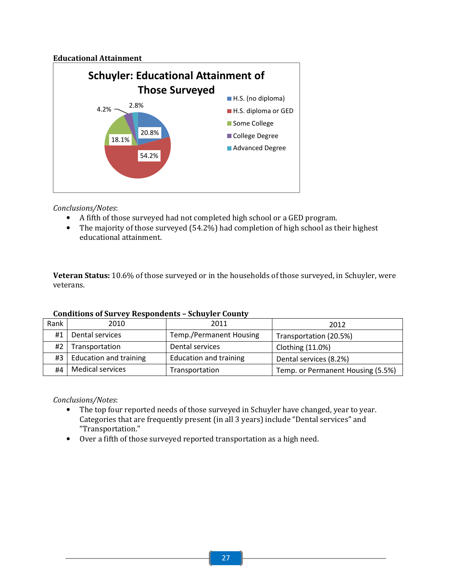# Educational Attainment



Conclusions/Notes:

- A fifth of those surveyed had not completed high school or a GED program.
- The majority of those surveyed (54.2%) had completion of high school as their highest educational attainment.

Veteran Status: 10.6% of those surveyed or in the households of those surveyed, in Schuyler, were veterans.

| Rank | 2010                        | 2011                          | 2012                              |
|------|-----------------------------|-------------------------------|-----------------------------------|
| #1   | Dental services             | Temp./Permanent Housing       | Transportation (20.5%)            |
| #2 I | Transportation              | Dental services               | Clothing (11.0%)                  |
|      | #3   Education and training | <b>Education and training</b> | Dental services (8.2%)            |
| #4   | <b>Medical services</b>     | Transportation                | Temp. or Permanent Housing (5.5%) |

# Conditions of Survey Respondents – Schuyler County

- The top four reported needs of those surveyed in Schuyler have changed, year to year. Categories that are frequently present (in all 3 years) include "Dental services" and "Transportation."
- Over a fifth of those surveyed reported transportation as a high need.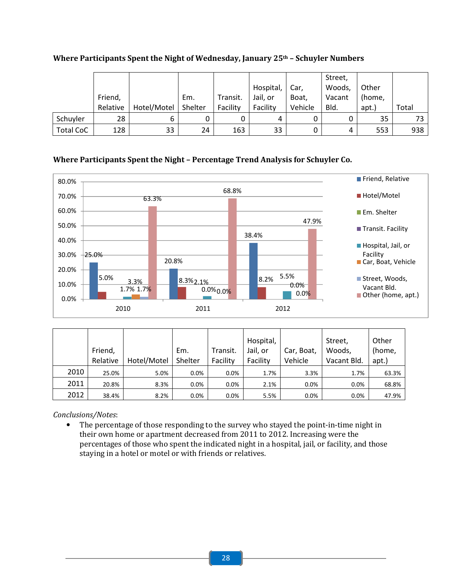|                  |          |             |         |          |           |         | Street, |        |       |
|------------------|----------|-------------|---------|----------|-----------|---------|---------|--------|-------|
|                  |          |             |         |          | Hospital, | Car,    | Woods,  | Other  |       |
|                  | Friend,  |             | Em.     | Transit. | Jail, or  | Boat,   | Vacant  | (home, |       |
|                  | Relative | Hotel/Motel | Shelter | Facility | Facility  | Vehicle | Bld.    | apt.)  | Total |
| Schuyler         | 28       |             |         |          |           | 0       |         | 35     | 73    |
| <b>Total CoC</b> | 128      | 33          | 24      | 163      | 33        | 0       | 4       | 553    | 938   |

Where Participants Spent the Night of Wednesday, January 25<sup>th</sup> - Schuyler Numbers

# Where Participants Spent the Night – Percentage Trend Analysis for Schuyler Co.



|      |          |             |         |          | Hospital, |            | Street,     | Other  |
|------|----------|-------------|---------|----------|-----------|------------|-------------|--------|
|      | Friend,  |             | Em.     | Transit. | Jail, or  | Car, Boat, | Woods,      | (home, |
|      | Relative | Hotel/Motel | Shelter | Facility | Facility  | Vehicle    | Vacant Bld. | apt.)  |
| 2010 | 25.0%    | 5.0%        | 0.0%    | 0.0%     | 1.7%      | 3.3%       | 1.7%        | 63.3%  |
| 2011 | 20.8%    | 8.3%        | 0.0%    | 0.0%     | 2.1%      | 0.0%       | 0.0%        | 68.8%  |
| 2012 | 38.4%    | 8.2%        | 0.0%    | 0.0%     | 5.5%      | 0.0%       | 0.0%        | 47.9%  |

Conclusions/Notes:

• The percentage of those responding to the survey who stayed the point-in-time night in their own home or apartment decreased from 2011 to 2012. Increasing were the percentages of those who spent the indicated night in a hospital, jail, or facility, and those staying in a hotel or motel or with friends or relatives.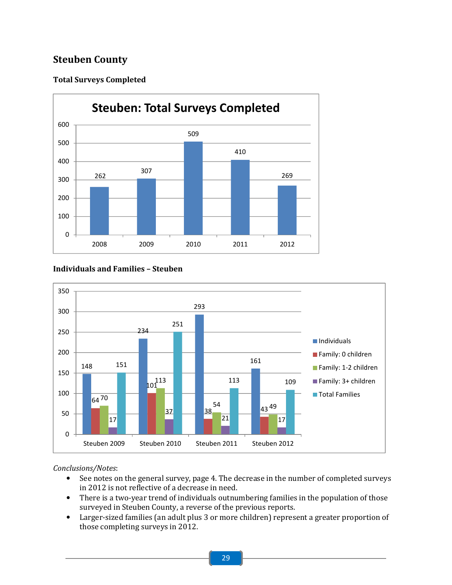# Steuben County

# Total Surveys Completed



# Individuals and Families – Steuben



- See notes on the general survey, page 4. The decrease in the number of completed surveys in 2012 is not reflective of a decrease in need.
- There is a two-year trend of individuals outnumbering families in the population of those surveyed in Steuben County, a reverse of the previous reports.
- Larger-sized families (an adult plus 3 or more children) represent a greater proportion of those completing surveys in 2012.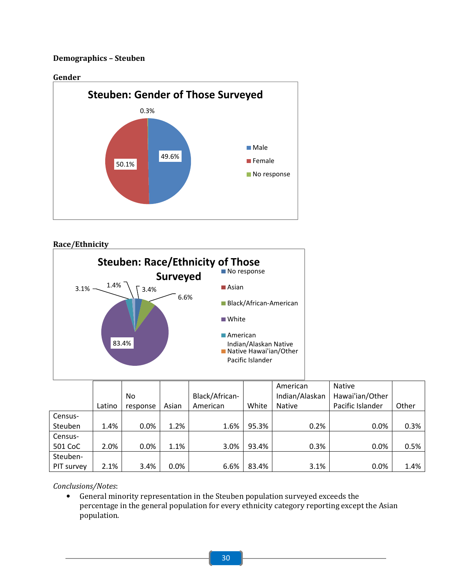# Demographics – Steuben



Race/Ethnicity



|            |        |          |       |                |       | American       | <b>Native</b>    |       |
|------------|--------|----------|-------|----------------|-------|----------------|------------------|-------|
|            |        | No       |       | Black/African- |       | Indian/Alaskan | Hawai'ian/Other  |       |
|            | Latino | response | Asian | American       | White | <b>Native</b>  | Pacific Islander | Other |
| Census-    |        |          |       |                |       |                |                  |       |
| Steuben    | 1.4%   | 0.0%     | 1.2%  | 1.6%           | 95.3% | 0.2%           | 0.0%             | 0.3%  |
| Census-    |        |          |       |                |       |                |                  |       |
| 501 CoC    | 2.0%   | 0.0%     | 1.1%  | 3.0%           | 93.4% | 0.3%           | 0.0%             | 0.5%  |
| Steuben-   |        |          |       |                |       |                |                  |       |
| PIT survey | 2.1%   | 3.4%     | 0.0%  | 6.6%           | 83.4% | 3.1%           | 0.0%             | 1.4%  |

Conclusions/Notes:

• General minority representation in the Steuben population surveyed exceeds the percentage in the general population for every ethnicity category reporting except the Asian population.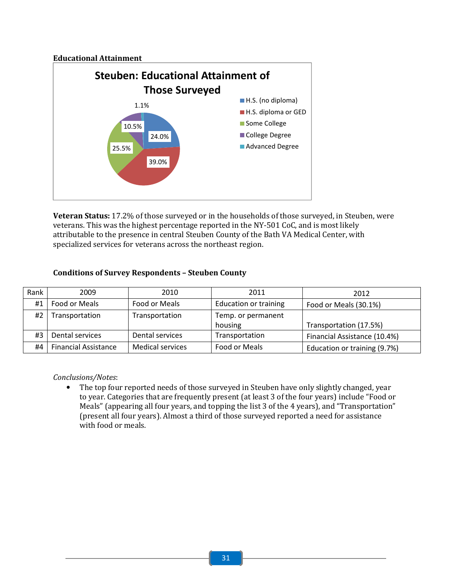# Educational Attainment



Veteran Status: 17.2% of those surveyed or in the households of those surveyed, in Steuben, were veterans. This was the highest percentage reported in the NY-501 CoC, and is most likely attributable to the presence in central Steuben County of the Bath VA Medical Center, with specialized services for veterans across the northeast region.

# Conditions of Survey Respondents – Steuben County

| Rank | 2009            | 2010            | 2011                         | 2012                         |
|------|-----------------|-----------------|------------------------------|------------------------------|
| #1   | Food or Meals   | Food or Meals   | <b>Education or training</b> | Food or Meals (30.1%)        |
| #2   | Transportation  | Transportation  | Temp. or permanent           |                              |
|      |                 |                 | housing                      | Transportation (17.5%)       |
| #3   | Dental services | Dental services | Transportation               |                              |
|      |                 |                 |                              | Financial Assistance (10.4%) |

# Conclusions/Notes:

• The top four reported needs of those surveyed in Steuben have only slightly changed, year to year. Categories that are frequently present (at least 3 of the four years) include "Food or Meals" (appearing all four years, and topping the list 3 of the 4 years), and "Transportation" (present all four years). Almost a third of those surveyed reported a need for assistance with food or meals.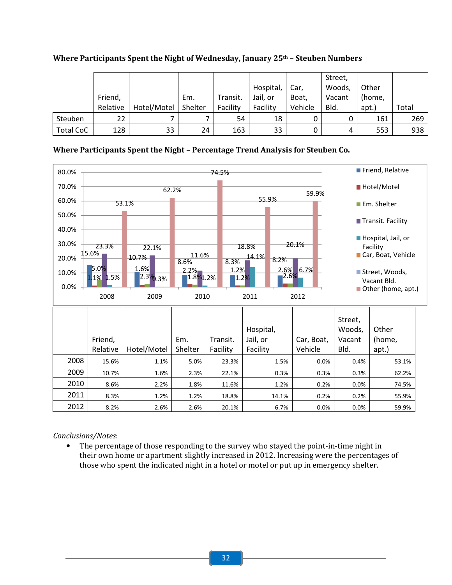|                  |          |             |         |          |           |         | Street, |        |       |
|------------------|----------|-------------|---------|----------|-----------|---------|---------|--------|-------|
|                  |          |             |         |          | Hospital, | Car,    | Woods,  | Other  |       |
|                  | Friend,  |             | Em.     | Transit. | Jail, or  | Boat,   | Vacant  | (home, |       |
|                  | Relative | Hotel/Motel | Shelter | Facility | Facility  | Vehicle | Bld.    | apt.)  | Total |
| <b>Steuben</b>   | 22       |             |         | 54       | 18        | 0       |         | 161    | 269   |
| <b>Total CoC</b> | 128      | 33          | 24      | 163      | 33        | 0       | 4       | 553    | 938   |

Where Participants Spent the Night of Wednesday, January  $25<sup>th</sup>$  – Steuben Numbers

# Where Participants Spent the Night – Percentage Trend Analysis for Steuben Co.



# Conclusions/Notes:

• The percentage of those responding to the survey who stayed the point-in-time night in their own home or apartment slightly increased in 2012. Increasing were the percentages of those who spent the indicated night in a hotel or motel or put up in emergency shelter.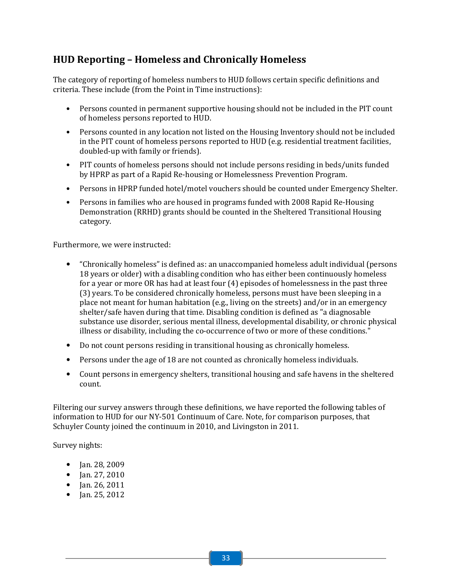# HUD Reporting – Homeless and Chronically Homeless

The category of reporting of homeless numbers to HUD follows certain specific definitions and criteria. These include (from the Point in Time instructions):

- Persons counted in permanent supportive housing should not be included in the PIT count of homeless persons reported to HUD.
- Persons counted in any location not listed on the Housing Inventory should not be included in the PIT count of homeless persons reported to HUD (e.g. residential treatment facilities, doubled-up with family or friends).
- PIT counts of homeless persons should not include persons residing in beds/units funded by HPRP as part of a Rapid Re-housing or Homelessness Prevention Program.
- Persons in HPRP funded hotel/motel vouchers should be counted under Emergency Shelter.
- Persons in families who are housed in programs funded with 2008 Rapid Re-Housing Demonstration (RRHD) grants should be counted in the Sheltered Transitional Housing category.

Furthermore, we were instructed:

- "Chronically homeless" is defined as: an unaccompanied homeless adult individual (persons 18 years or older) with a disabling condition who has either been continuously homeless for a year or more OR has had at least four (4) episodes of homelessness in the past three (3) years. To be considered chronically homeless, persons must have been sleeping in a place not meant for human habitation (e.g., living on the streets) and/or in an emergency shelter/safe haven during that time. Disabling condition is defined as "a diagnosable substance use disorder, serious mental illness, developmental disability, or chronic physical illness or disability, including the co-occurrence of two or more of these conditions."
- Do not count persons residing in transitional housing as chronically homeless.
- Persons under the age of 18 are not counted as chronically homeless individuals.
- Count persons in emergency shelters, transitional housing and safe havens in the sheltered count.

Filtering our survey answers through these definitions, we have reported the following tables of information to HUD for our NY-501 Continuum of Care. Note, for comparison purposes, that Schuyler County joined the continuum in 2010, and Livingston in 2011.

Survey nights:

- Jan. 28, 2009
- Jan. 27, 2010
- Jan. 26, 2011
- Jan. 25, 2012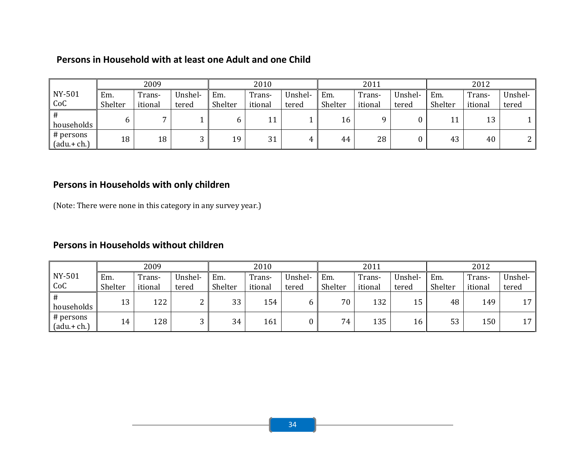# Persons in Household with at least one Adult and one Child

|                            |         | 2009    |         |         | 2010    |         |         | 2011    |         |         | 2012    |                 |
|----------------------------|---------|---------|---------|---------|---------|---------|---------|---------|---------|---------|---------|-----------------|
| NY-501                     | Em.     | Trans-  | Unshel- | Em.     | Trans-  | Unshel- | Em.     | Trans-  | Unshel- | Em.     | Trans-  | Unshel-         |
| CoC                        | Shelter | itional | tered   | Shelter | itional | tered   | Shelter | itional | tered   | Shelter | itional | tered           |
| #<br>households            | 6       |         |         |         | 11      |         | 16      |         |         | 11      | 13      |                 |
| # persons<br>$(adu + ch.)$ | 18      | 18      | ົ       | 19      | 31      | 4       | 44      | 28      |         | 43      | 40      | ີ<br>$\epsilon$ |

# Persons in Households with only children

(Note: There were none in this category in any survey year.)

# Persons in Households without children

|                            |         | 2009    |         |         | 2010    |         |         | 2011    |         |         | 2012    |         |
|----------------------------|---------|---------|---------|---------|---------|---------|---------|---------|---------|---------|---------|---------|
| NY-501                     | Em.     | Trans-  | Unshel- | Em.     | Trans-  | Unshel- | Em.     | Trans-  | Unshel- | Em.     | Trans-  | Unshel- |
| CoC                        | Shelter | itional | tered   | Shelter | itional | tered   | Shelter | itional | tered   | Shelter | itional | tered   |
| #<br>households            | 13      | 122     | n<br>∼  | 33      | 154     | b       | 70      | 132     | 15      | 48      | 149     | 17      |
| # persons<br>$(adu + ch.)$ | 14      | 128     | ົ       | 34      | 161     |         | 74      | 135     | 16      | 53      | 150     | 17      |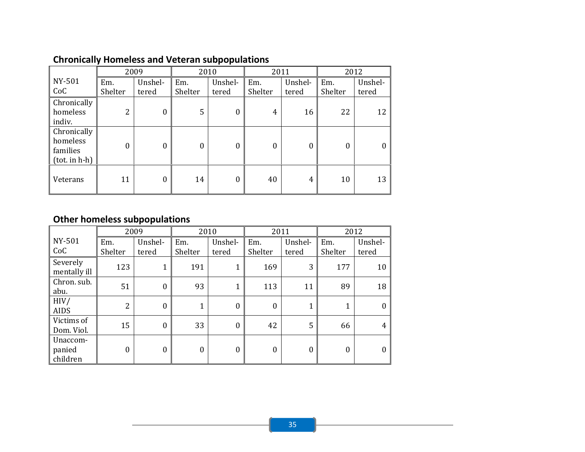|                                                           |                | 2009     | 2010    |          | 2011     |         | 2012     |                  |
|-----------------------------------------------------------|----------------|----------|---------|----------|----------|---------|----------|------------------|
| NY-501                                                    | Em.            | Unshel-  | Em.     | Unshel-  | Em.      | Unshel- | Em.      | Unshel-          |
| CoC                                                       | Shelter        | tered    | Shelter | tered    | Shelter  | tered   | Shelter  | tered            |
| Chronically<br>homeless<br>indiv.                         | $\overline{2}$ | $\Omega$ | 5       | $\Omega$ | 4        | 16      | 22       | 12               |
| Chronically<br>homeless<br>families<br>$(tot.$ in $h-h$ ) | $\Omega$       | $\Omega$ | 0       | 0        | $\Omega$ | 0       | $\theta$ | $\boldsymbol{0}$ |
| Veterans                                                  | 11             | $\theta$ | 14      | $\Omega$ | 40       | 4       | 10       | 13               |

# Chronically Homeless and Veteran subpopulations

# Other homeless subpopulations

|                                |                | 2009           |          | 2010         | 2011           |          | 2012     |                  |
|--------------------------------|----------------|----------------|----------|--------------|----------------|----------|----------|------------------|
| NY-501                         | Em.            | Unshel-        | Em.      | Unshel-      | Em.            | Unshel-  | Em.      | Unshel-          |
| CoC                            | Shelter        | tered          | Shelter  | tered        | Shelter        | tered    | Shelter  | tered            |
| Severely<br>mentally ill       | 123            |                | 191      | $\mathbf 1$  | 169            | 3        | 177      | 10               |
| Chron. sub.<br>abu.            | 51             | $\overline{0}$ | 93       | $\mathbf{1}$ | 113            | 11       | 89       | 18               |
| HIV/<br><b>AIDS</b>            | $\overline{2}$ | $\overline{0}$ | 1        | $\theta$     | $\overline{0}$ |          | 1        | $\boldsymbol{0}$ |
| Victims of<br>Dom. Viol.       | 15             | $\overline{0}$ | 33       | $\theta$     | 42             | 5        | 66       | 4                |
| Unaccom-<br>panied<br>children | $\theta$       | $\theta$       | $\Omega$ | $\Omega$     | $\Omega$       | $\Omega$ | $\Omega$ | $\boldsymbol{0}$ |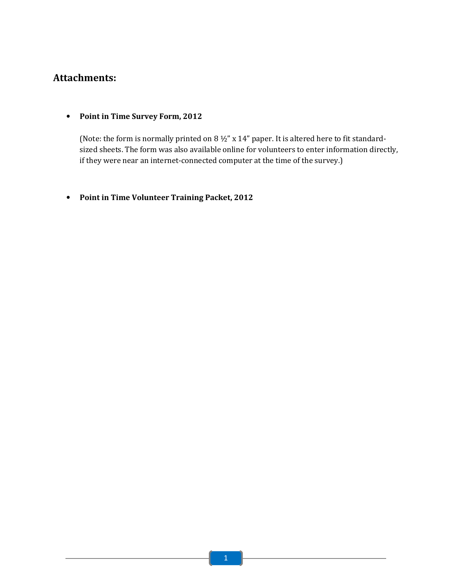# Attachments:

• Point in Time Survey Form, 2012

(Note: the form is normally printed on 8 ½" x 14" paper. It is altered here to fit standardsized sheets. The form was also available online for volunteers to enter information directly, if they were near an internet-connected computer at the time of the survey.)

• Point in Time Volunteer Training Packet, 2012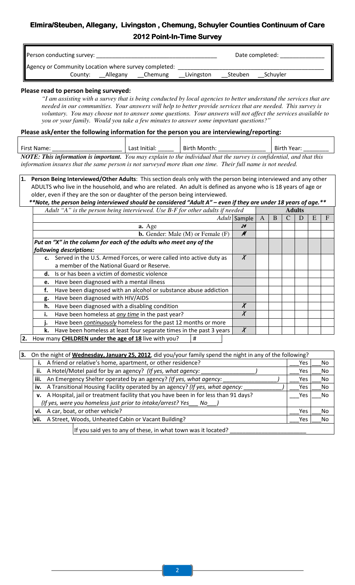# Elmira/Steuben, Allegany, Livingston, Chemung, Schuyler Counties Continuum of Care 2012 Point-In-Time Survey

| Person conducting survey:                            |         |          |         |            |         | Date completed: |  |
|------------------------------------------------------|---------|----------|---------|------------|---------|-----------------|--|
| Agency or Community Location where survey completed: |         |          |         |            |         |                 |  |
|                                                      | County: | Allegany | Chemung | Livingston | Steuben | Schuyler        |  |

# Please read to person being surveyed:

*"I am assisting with a survey that is being conducted by local agencies to better understand the services that are needed in our communities. Your answers will help to better provide services that are needed. This survey is voluntary. You may choose not to answer some questions. Your answers will not affect the services available to you or your family. Would you take a few minutes to answer some important questions?"* 

# Please ask/enter the following information for the person you are interviewing/reporting:

| First Name:                                                                                                                  | Last Initial: | Birth Month: | Birth Year: |
|------------------------------------------------------------------------------------------------------------------------------|---------------|--------------|-------------|
| <b>NOTE: This information is important.</b> You may explain to the individual that the survey is confidential, and that this |               |              |             |

*information insures that the same person is not surveyed more than one time. Their full name is not needed.* 

Person Being Interviewed/Other Adults: This section deals only with the person being interviewed and any other ADULTS who live in the household, and who are related. An adult is defined as anyone who is 18 years of age or older, even if they are the son or daughter of the person being interviewed.

\*\*Note, the person being interviewed should be considered "Adult A" – even if they are under 18 years of age.\*\* *Adult "A" is the person being interviewed. Use B-F for other adults if needed* **Adult** 

|    | Addit A is the person being therviewed. Ose D-T for other damis if heeded |        |   |   | Auuns |   |   |   |
|----|---------------------------------------------------------------------------|--------|---|---|-------|---|---|---|
|    | A dult                                                                    | Sample | A | B |       | D | Е | F |
|    | a. Age                                                                    | 24     |   |   |       |   |   |   |
|    | <b>b.</b> Gender: Male $(M)$ or Female $(F)$                              | M      |   |   |       |   |   |   |
|    | Put an "X" in the column for each of the adults who meet any of the       |        |   |   |       |   |   |   |
|    | following descriptions:                                                   |        |   |   |       |   |   |   |
|    | c. Served in the U.S. Armed Forces, or were called into active duty as    | X      |   |   |       |   |   |   |
|    | a member of the National Guard or Reserve.                                |        |   |   |       |   |   |   |
| d. | Is or has been a victim of domestic violence                              |        |   |   |       |   |   |   |
| e. | Have been diagnosed with a mental illness                                 |        |   |   |       |   |   |   |
| f. | Have been diagnosed with an alcohol or substance abuse addiction          |        |   |   |       |   |   |   |
| g. | Have been diagnosed with HIV/AIDS                                         |        |   |   |       |   |   |   |
| h. | Have been diagnosed with a disabling condition                            |        |   |   |       |   |   |   |
| ı. | Have been homeless at any time in the past year?                          | Χ      |   |   |       |   |   |   |
| ı. | Have been continuously homeless for the past 12 months or more            |        |   |   |       |   |   |   |
| k. | Have been homeless at least four separate times in the past 3 years       | $\chi$ |   |   |       |   |   |   |
|    |                                                                           |        |   |   |       |   |   |   |

**2.** How many **CHILDREN under the age of 18** live with you?  $\parallel$  #

| On the night of <b>Wednesday, January 25, 2012</b> , did you/your family spend the night in any of the following? |     |           |
|-------------------------------------------------------------------------------------------------------------------|-----|-----------|
| A friend or relative's home, apartment, or other residence?                                                       | Yes | <b>No</b> |
|                                                                                                                   |     |           |
| A Hotel/Motel paid for by an agency? (If yes, what agency:<br>ii.                                                 | Yes | <b>No</b> |
| An Emergency Shelter operated by an agency? (If yes, what agency:<br>iii.                                         | Yes | <b>No</b> |
| iv. A Transitional Housing Facility operated by an agency? (If yes, what agency:                                  | Yes | <b>No</b> |
| v. A Hospital, jail or treatment facility that you have been in for less than 91 days?                            | Yes | <b>No</b> |
| (If yes, were you homeless just prior to intake/arrest? Yes<br>No.                                                |     |           |
| A car, boat, or other vehicle?<br>vi.                                                                             | Yes | No        |
| A Street, Woods, Unheated Cabin or Vacant Building?<br>lvii.                                                      | Yes | <b>No</b> |
| الاقتصاد والمقام والمستحدث والمستحقق والمتحارث والمستحدث والمستحدث والمستحدث والمتحدث والمستحدث                   |     |           |

If you said yes to any of these, in what town was it located?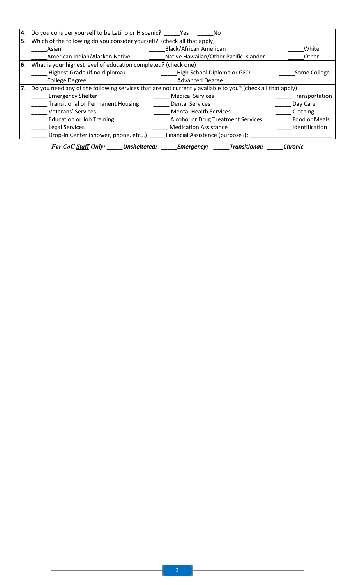| Ι4. | Do you consider yourself to be Latino or Hispanic?                                                        | No.<br>Yes.                               |                |  |  |
|-----|-----------------------------------------------------------------------------------------------------------|-------------------------------------------|----------------|--|--|
| 5.  | Which of the following do you consider yourself? (check all that apply)                                   |                                           |                |  |  |
|     | Asian                                                                                                     | <b>Black/African American</b>             | White          |  |  |
|     | American Indian/Alaskan Native                                                                            | Native Hawaiian/Other Pacific Islander    | Other          |  |  |
| 6.  | What is your highest level of education completed? (check one)                                            |                                           |                |  |  |
|     | Highest Grade (if no diploma)                                                                             | High School Diploma or GED                | Some College   |  |  |
|     | <b>College Degree</b>                                                                                     | <b>Advanced Degree</b>                    |                |  |  |
|     | Do you need any of the following services that are not currently available to you? (check all that apply) |                                           |                |  |  |
|     | <b>Emergency Shelter</b>                                                                                  | <b>Medical Services</b>                   | Transportation |  |  |
|     | <b>Transitional or Permanent Housing</b>                                                                  | <b>Dental Services</b>                    | Day Care       |  |  |
|     | <b>Veterans' Services</b>                                                                                 | <b>Mental Health Services</b>             | Clothing       |  |  |
|     | <b>Education or Job Training</b>                                                                          | <b>Alcohol or Drug Treatment Services</b> | Food or Meals  |  |  |
|     | Legal Services                                                                                            | <b>Medication Assistance</b>              | Identification |  |  |
|     | Drop-In Center (shower, phone, etc)                                                                       | Financial Assistance (purpose?):          |                |  |  |
|     | For CoC Staff Only: Unsheltered; Emergency;                                                               | <b>Transitional;</b>                      | <b>Chronic</b> |  |  |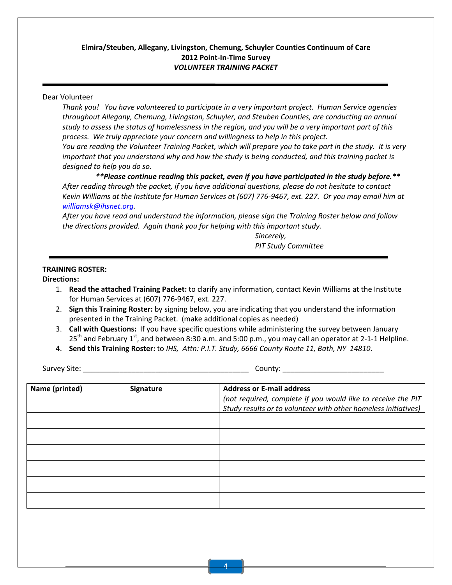### Elmira/Steuben, Allegany, Livingston, Chemung, Schuyler Counties Continuum of Care 2012 Point-In-Time Survey VOLUNTEER TRAINING PACKET

#### Dear Volunteer

Thank you! You have volunteered to participate in a very important project. Human Service agencies throughout Allegany, Chemung, Livingston, Schuyler, and Steuben Counties, are conducting an annual study to assess the status of homelessness in the region, and you will be a very important part of this process. We truly appreciate your concern and willingness to help in this project.

You are reading the Volunteer Training Packet, which will prepare you to take part in the study. It is very important that you understand why and how the study is being conducted, and this training packet is designed to help you do so.

\*\*Please continue reading this packet, even if you have participated in the study before.\*\* After reading through the packet, if you have additional questions, please do not hesitate to contact Kevin Williams at the Institute for Human Services at (607) 776-9467, ext. 227. Or you may email him at williamsk@ihsnet.org.

After you have read and understand the information, please sign the Training Roster below and follow the directions provided. Again thank you for helping with this important study.

> Sincerely, PIT Study Committee

#### TRAINING ROSTER:

Directions:

- 1. Read the attached Training Packet: to clarify any information, contact Kevin Williams at the Institute for Human Services at (607) 776-9467, ext. 227.
- 2. Sign this Training Roster: by signing below, you are indicating that you understand the information presented in the Training Packet. (make additional copies as needed)
- 3. Call with Questions: If you have specific questions while administering the survey between January  $25<sup>th</sup>$  and February 1<sup>st</sup>, and between 8:30 a.m. and 5:00 p.m., you may call an operator at 2-1-1 Helpline.
- 4. Send this Training Roster: to IHS, Attn: P.I.T. Study, 6666 County Route 11, Bath, NY 14810.

Survey Site: \_\_\_\_\_\_\_\_\_\_\_\_\_\_\_\_\_\_\_\_\_\_\_\_\_\_\_\_\_\_\_\_\_\_\_\_\_\_\_\_\_ County: \_\_\_\_\_\_\_\_\_\_\_\_\_\_\_\_\_\_\_\_\_\_\_\_\_

| Name (printed) | <b>Signature</b> | <b>Address or E-mail address</b><br>(not required, complete if you would like to receive the PIT<br>Study results or to volunteer with other homeless initiatives) |
|----------------|------------------|--------------------------------------------------------------------------------------------------------------------------------------------------------------------|
|                |                  |                                                                                                                                                                    |
|                |                  |                                                                                                                                                                    |
|                |                  |                                                                                                                                                                    |
|                |                  |                                                                                                                                                                    |
|                |                  |                                                                                                                                                                    |
|                |                  |                                                                                                                                                                    |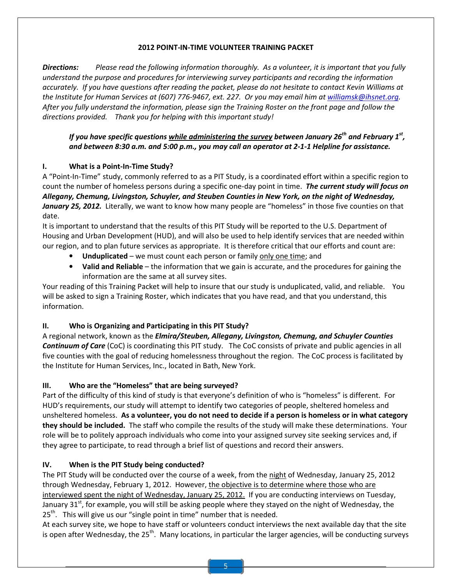# 2012 POINT-IN-TIME VOLUNTEER TRAINING PACKET

Directions: Please read the following information thoroughly. As a volunteer, it is important that you fully understand the purpose and procedures for interviewing survey participants and recording the information accurately. If you have questions after reading the packet, please do not hesitate to contact Kevin Williams at the Institute for Human Services at (607) 776-9467, ext. 227. Or you may email him at williamsk@ihsnet.org. After you fully understand the information, please sign the Training Roster on the front page and follow the directions provided. Thank you for helping with this important study!

If you have specific questions <u>while administering the survey</u> between January 26 $^{\rm th}$  and February 1 $^{\rm st}$ , and between 8:30 a.m. and 5:00 p.m., you may call an operator at 2-1-1 Helpline for assistance.

# I. What is a Point-In-Time Study?

A "Point-In-Time" study, commonly referred to as a PIT Study, is a coordinated effort within a specific region to count the number of homeless persons during a specific one-day point in time. The current study will focus on Allegany, Chemung, Livingston, Schuyler, and Steuben Counties in New York, on the night of Wednesday, January 25, 2012. Literally, we want to know how many people are "homeless" in those five counties on that date.

It is important to understand that the results of this PIT Study will be reported to the U.S. Department of Housing and Urban Development (HUD), and will also be used to help identify services that are needed within our region, and to plan future services as appropriate. It is therefore critical that our efforts and count are:

- Unduplicated we must count each person or family only one time; and
- Valid and Reliable the information that we gain is accurate, and the procedures for gaining the information are the same at all survey sites.

Your reading of this Training Packet will help to insure that our study is unduplicated, valid, and reliable. You will be asked to sign a Training Roster, which indicates that you have read, and that you understand, this information.

# II. Who is Organizing and Participating in this PIT Study?

A regional network, known as the *Elmira/Steuben, Allegany, Livingston, Chemung, and Schuyler Counties* Continuum of Care (CoC) is coordinating this PIT study. The CoC consists of private and public agencies in all five counties with the goal of reducing homelessness throughout the region. The CoC process is facilitated by the Institute for Human Services, Inc., located in Bath, New York.

# III. Who are the "Homeless" that are being surveyed?

Part of the difficulty of this kind of study is that everyone's definition of who is "homeless" is different. For HUD's requirements, our study will attempt to identify two categories of people, sheltered homeless and unsheltered homeless. As a volunteer, you do not need to decide if a person is homeless or in what category they should be included. The staff who compile the results of the study will make these determinations. Your role will be to politely approach individuals who come into your assigned survey site seeking services and, if they agree to participate, to read through a brief list of questions and record their answers.

# IV. When is the PIT Study being conducted?

The PIT Study will be conducted over the course of a week, from the night of Wednesday, January 25, 2012 through Wednesday, February 1, 2012. However, the objective is to determine where those who are interviewed spent the night of Wednesday, January 25, 2012. If you are conducting interviews on Tuesday, January 31 $^{st}$ , for example, you will still be asking people where they stayed on the night of Wednesday, the 25<sup>th</sup>. This will give us our "single point in time" number that is needed.

At each survey site, we hope to have staff or volunteers conduct interviews the next available day that the site is open after Wednesday, the 25<sup>th</sup>. Many locations, in particular the larger agencies, will be conducting surveys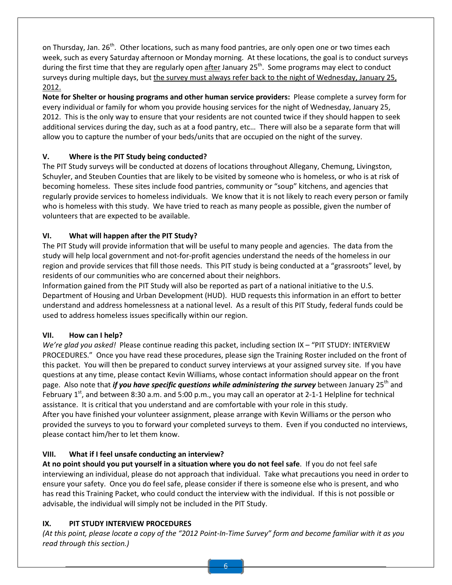on Thursday, Jan. 26<sup>th</sup>. Other locations, such as many food pantries, are only open one or two times each week, such as every Saturday afternoon or Monday morning. At these locations, the goal is to conduct surveys during the first time that they are regularly open after January  $25<sup>th</sup>$ . Some programs may elect to conduct surveys during multiple days, but the survey must always refer back to the night of Wednesday, January 25, 2012.

Note for Shelter or housing programs and other human service providers: Please complete a survey form for every individual or family for whom you provide housing services for the night of Wednesday, January 25, 2012. This is the only way to ensure that your residents are not counted twice if they should happen to seek additional services during the day, such as at a food pantry, etc… There will also be a separate form that will allow you to capture the number of your beds/units that are occupied on the night of the survey.

# V. Where is the PIT Study being conducted?

The PIT Study surveys will be conducted at dozens of locations throughout Allegany, Chemung, Livingston, Schuyler, and Steuben Counties that are likely to be visited by someone who is homeless, or who is at risk of becoming homeless. These sites include food pantries, community or "soup" kitchens, and agencies that regularly provide services to homeless individuals. We know that it is not likely to reach every person or family who is homeless with this study. We have tried to reach as many people as possible, given the number of volunteers that are expected to be available.

# VI. What will happen after the PIT Study?

The PIT Study will provide information that will be useful to many people and agencies. The data from the study will help local government and not-for-profit agencies understand the needs of the homeless in our region and provide services that fill those needs. This PIT study is being conducted at a "grassroots" level, by residents of our communities who are concerned about their neighbors.

Information gained from the PIT Study will also be reported as part of a national initiative to the U.S. Department of Housing and Urban Development (HUD). HUD requests this information in an effort to better understand and address homelessness at a national level. As a result of this PIT Study, federal funds could be used to address homeless issues specifically within our region.

# VII. How can I help?

We're glad you asked! Please continue reading this packet, including section IX - "PIT STUDY: INTERVIEW PROCEDURES." Once you have read these procedures, please sign the Training Roster included on the front of this packet. You will then be prepared to conduct survey interviews at your assigned survey site. If you have questions at any time, please contact Kevin Williams, whose contact information should appear on the front page. Also note that *if you have specific questions while administering the survey* between January 25<sup>th</sup> and February 1<sup>st</sup>, and between 8:30 a.m. and 5:00 p.m., you may call an operator at 2-1-1 Helpline for technical assistance. It is critical that you understand and are comfortable with your role in this study. After you have finished your volunteer assignment, please arrange with Kevin Williams or the person who provided the surveys to you to forward your completed surveys to them. Even if you conducted no interviews, please contact him/her to let them know.

# VIII. What if I feel unsafe conducting an interview?

At no point should you put yourself in a situation where you do not feel safe. If you do not feel safe interviewing an individual, please do not approach that individual. Take what precautions you need in order to ensure your safety. Once you do feel safe, please consider if there is someone else who is present, and who has read this Training Packet, who could conduct the interview with the individual. If this is not possible or advisable, the individual will simply not be included in the PIT Study.

# IX. PIT STUDY INTERVIEW PROCEDURES

(At this point, please locate a copy of the "2012 Point-In-Time Survey" form and become familiar with it as you read through this section.)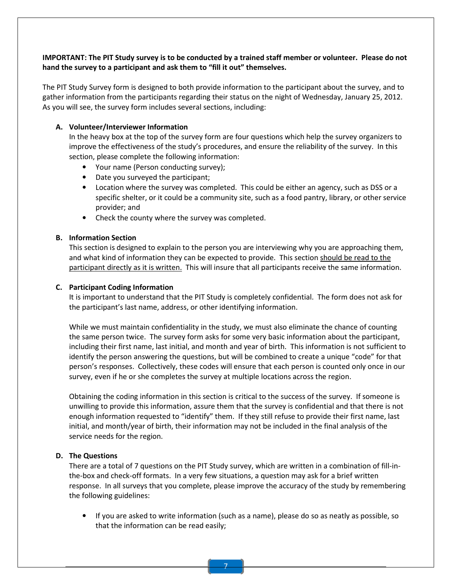# IMPORTANT: The PIT Study survey is to be conducted by a trained staff member or volunteer. Please do not hand the survey to a participant and ask them to "fill it out" themselves.

The PIT Study Survey form is designed to both provide information to the participant about the survey, and to gather information from the participants regarding their status on the night of Wednesday, January 25, 2012. As you will see, the survey form includes several sections, including:

#### A. Volunteer/Interviewer Information

In the heavy box at the top of the survey form are four questions which help the survey organizers to improve the effectiveness of the study's procedures, and ensure the reliability of the survey. In this section, please complete the following information:

- Your name (Person conducting survey);
- Date you surveyed the participant;
- Location where the survey was completed. This could be either an agency, such as DSS or a specific shelter, or it could be a community site, such as a food pantry, library, or other service provider; and
- Check the county where the survey was completed.

#### B. Information Section

This section is designed to explain to the person you are interviewing why you are approaching them, and what kind of information they can be expected to provide. This section should be read to the participant directly as it is written. This will insure that all participants receive the same information.

#### C. Participant Coding Information

It is important to understand that the PIT Study is completely confidential. The form does not ask for the participant's last name, address, or other identifying information.

While we must maintain confidentiality in the study, we must also eliminate the chance of counting the same person twice. The survey form asks for some very basic information about the participant, including their first name, last initial, and month and year of birth. This information is not sufficient to identify the person answering the questions, but will be combined to create a unique "code" for that person's responses. Collectively, these codes will ensure that each person is counted only once in our survey, even if he or she completes the survey at multiple locations across the region.

Obtaining the coding information in this section is critical to the success of the survey. If someone is unwilling to provide this information, assure them that the survey is confidential and that there is not enough information requested to "identify" them. If they still refuse to provide their first name, last initial, and month/year of birth, their information may not be included in the final analysis of the service needs for the region.

#### D. The Questions

There are a total of 7 questions on the PIT Study survey, which are written in a combination of fill-inthe-box and check-off formats. In a very few situations, a question may ask for a brief written response. In all surveys that you complete, please improve the accuracy of the study by remembering the following guidelines:

• If you are asked to write information (such as a name), please do so as neatly as possible, so that the information can be read easily;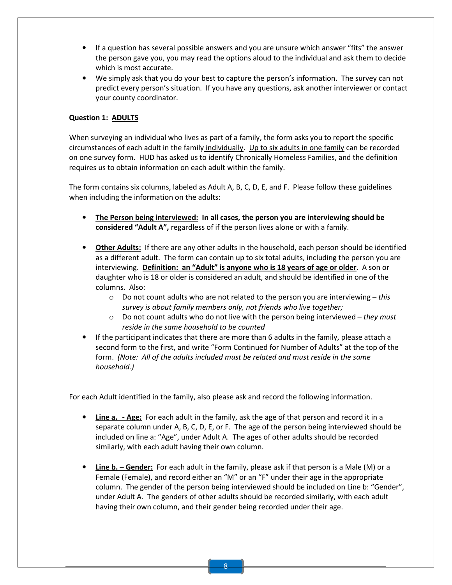- If a question has several possible answers and you are unsure which answer "fits" the answer the person gave you, you may read the options aloud to the individual and ask them to decide which is most accurate.
- We simply ask that you do your best to capture the person's information. The survey can not predict every person's situation. If you have any questions, ask another interviewer or contact your county coordinator.

# Question 1: ADULTS

When surveying an individual who lives as part of a family, the form asks you to report the specific circumstances of each adult in the family individually. Up to six adults in one family can be recorded on one survey form. HUD has asked us to identify Chronically Homeless Families, and the definition requires us to obtain information on each adult within the family.

The form contains six columns, labeled as Adult A, B, C, D, E, and F. Please follow these guidelines when including the information on the adults:

- The Person being interviewed: In all cases, the person you are interviewing should be considered "Adult A", regardless of if the person lives alone or with a family.
- **Other Adults:** If there are any other adults in the household, each person should be identified as a different adult. The form can contain up to six total adults, including the person you are interviewing. Definition: an "Adult" is anyone who is 18 years of age or older. A son or daughter who is 18 or older is considered an adult, and should be identified in one of the columns. Also:
	- $\circ$  Do not count adults who are not related to the person you are interviewing this survey is about family members only, not friends who live together;
	- $\circ$  Do not count adults who do not live with the person being interviewed they must reside in the same household to be counted
- If the participant indicates that there are more than 6 adults in the family, please attach a second form to the first, and write "Form Continued for Number of Adults" at the top of the form. (Note: All of the adults included must be related and must reside in the same household.)

For each Adult identified in the family, also please ask and record the following information.

- **Line a.** Age: For each adult in the family, ask the age of that person and record it in a separate column under A, B, C, D, E, or F. The age of the person being interviewed should be included on line a: "Age", under Adult A. The ages of other adults should be recorded similarly, with each adult having their own column.
- **Line b.** Gender: For each adult in the family, please ask if that person is a Male (M) or a Female (Female), and record either an "M" or an "F" under their age in the appropriate column. The gender of the person being interviewed should be included on Line b: "Gender", under Adult A. The genders of other adults should be recorded similarly, with each adult having their own column, and their gender being recorded under their age.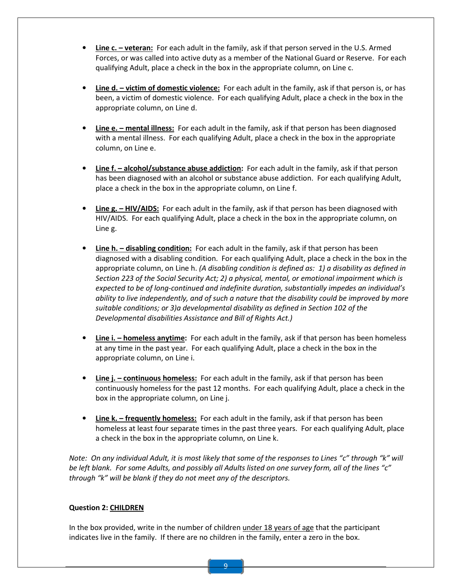- Line c. veteran: For each adult in the family, ask if that person served in the U.S. Armed Forces, or was called into active duty as a member of the National Guard or Reserve. For each qualifying Adult, place a check in the box in the appropriate column, on Line c.
- **Line d. victim of domestic violence:** For each adult in the family, ask if that person is, or has been, a victim of domestic violence. For each qualifying Adult, place a check in the box in the appropriate column, on Line d.
- **Line e.** mental illness: For each adult in the family, ask if that person has been diagnosed with a mental illness. For each qualifying Adult, place a check in the box in the appropriate column, on Line e.
- Line f. alcohol/substance abuse addiction: For each adult in the family, ask if that person has been diagnosed with an alcohol or substance abuse addiction. For each qualifying Adult, place a check in the box in the appropriate column, on Line f.
- **Line g. HIV/AIDS:** For each adult in the family, ask if that person has been diagnosed with HIV/AIDS. For each qualifying Adult, place a check in the box in the appropriate column, on Line g.
- Line h. disabling condition: For each adult in the family, ask if that person has been diagnosed with a disabling condition. For each qualifying Adult, place a check in the box in the appropriate column, on Line h. (A disabling condition is defined as: 1) a disability as defined in Section 223 of the Social Security Act; 2) a physical, mental, or emotional impairment which is expected to be of long-continued and indefinite duration, substantially impedes an individual's ability to live independently, and of such a nature that the disability could be improved by more suitable conditions; or 3)a developmental disability as defined in Section 102 of the Developmental disabilities Assistance and Bill of Rights Act.)
- Line i. homeless anytime: For each adult in the family, ask if that person has been homeless at any time in the past year. For each qualifying Adult, place a check in the box in the appropriate column, on Line i.
- Line j. continuous homeless: For each adult in the family, ask if that person has been continuously homeless for the past 12 months. For each qualifying Adult, place a check in the box in the appropriate column, on Line j.
- **Line k.** frequently homeless: For each adult in the family, ask if that person has been homeless at least four separate times in the past three years. For each qualifying Adult, place a check in the box in the appropriate column, on Line k.

Note: On any individual Adult, it is most likely that some of the responses to Lines "c" through "k" will be left blank. For some Adults, and possibly all Adults listed on one survey form, all of the lines "c" through "k" will be blank if they do not meet any of the descriptors.

#### Question 2: CHILDREN

In the box provided, write in the number of children under 18 years of age that the participant indicates live in the family. If there are no children in the family, enter a zero in the box.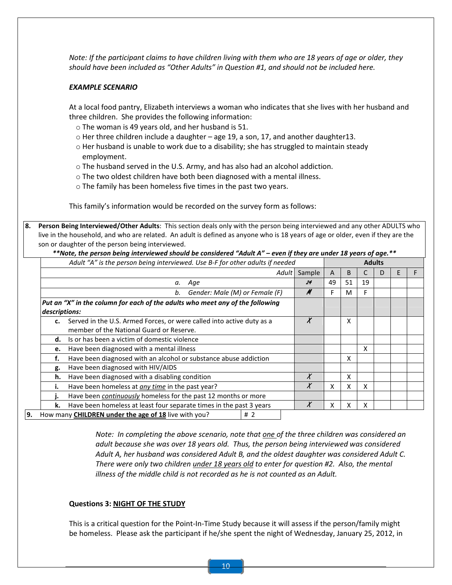Note: If the participant claims to have children living with them who are 18 years of age or older, they should have been included as "Other Adults" in Question #1, and should not be included here.

#### EXAMPLE SCENARIO

At a local food pantry, Elizabeth interviews a woman who indicates that she lives with her husband and three children. She provides the following information:

- o The woman is 49 years old, and her husband is 51.
- $\circ$  Her three children include a daughter age 19, a son, 17, and another daughter13.
- o Her husband is unable to work due to a disability; she has struggled to maintain steady employment.
- o The husband served in the U.S. Army, and has also had an alcohol addiction.
- $\circ$  The two oldest children have both been diagnosed with a mental illness.
- o The family has been homeless five times in the past two years.

This family's information would be recorded on the survey form as follows:

8. Person Being Interviewed/Other Adults: This section deals only with the person being interviewed and any other ADULTS who live in the household, and who are related. An adult is defined as anyone who is 18 years of age or older, even if they are the son or daughter of the person being interviewed.

|                                      | note, the person being interviewed should be considered "Addit A" – even if they are under 16 years of dye. " |        |    |    |    |   |   |  |
|--------------------------------------|---------------------------------------------------------------------------------------------------------------|--------|----|----|----|---|---|--|
|                                      | Adult "A" is the person being interviewed. Use B-F for other adults if needed<br><b>Adults</b>                |        |    |    |    |   |   |  |
|                                      | Adult                                                                                                         | Sample | A  | B  |    | D | F |  |
|                                      | Age<br>а.                                                                                                     | 24     | 49 | 51 | 19 |   |   |  |
| Gender: Male (M) or Female (F)<br>b. |                                                                                                               |        |    | м  | F  |   |   |  |
|                                      | Put an "X" in the column for each of the adults who meet any of the following                                 |        |    |    |    |   |   |  |
| descriptions:                        |                                                                                                               |        |    |    |    |   |   |  |
| c.                                   | Served in the U.S. Armed Forces, or were called into active duty as a                                         | $\chi$ |    | x  |    |   |   |  |
|                                      | member of the National Guard or Reserve.                                                                      |        |    |    |    |   |   |  |
| d.                                   | Is or has been a victim of domestic violence                                                                  |        |    |    |    |   |   |  |
| e.                                   | Have been diagnosed with a mental illness                                                                     |        |    |    | x  |   |   |  |
| f.                                   | Have been diagnosed with an alcohol or substance abuse addiction                                              |        |    | x  |    |   |   |  |
| g.                                   | Have been diagnosed with HIV/AIDS                                                                             |        |    |    |    |   |   |  |
| h.                                   | X<br>Have been diagnosed with a disabling condition                                                           |        |    | x  |    |   |   |  |
| i.                                   | Have been homeless at any time in the past year?                                                              | X      | X  | x  | x  |   |   |  |
| ı.                                   | Have been <i>continuously</i> homeless for the past 12 months or more                                         |        |    |    |    |   |   |  |
| k.                                   | Have been homeless at least four separate times in the past 3 years                                           | Λ      | x  | х  | х  |   |   |  |
|                                      | How many <b>CHILDREN under the age of 18</b> live with you?<br># $2$                                          |        |    |    |    |   |   |  |

\*\*Note, the person being interviewed should be considered "Adult A" – even if they are under 18 years of age.\*\*

Note: In completing the above scenario, note that one of the three children was considered an adult because she was over 18 years old. Thus, the person being interviewed was considered Adult A, her husband was considered Adult B, and the oldest daughter was considered Adult C. There were only two children under 18 years old to enter for question #2. Also, the mental illness of the middle child is not recorded as he is not counted as an Adult.

#### Questions 3: NIGHT OF THE STUDY

This is a critical question for the Point-In-Time Study because it will assess if the person/family might be homeless. Please ask the participant if he/she spent the night of Wednesday, January 25, 2012, in